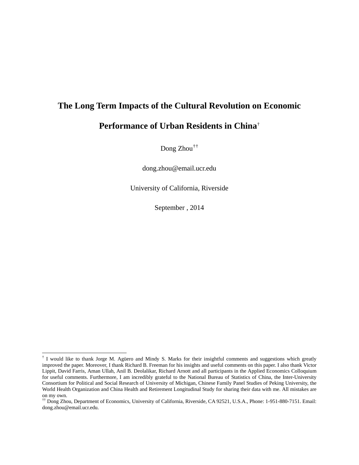# **The Long Term Impacts of the Cultural Revolution on Economic**

## **Performance of Urban Residents in China**[†](#page-0-0)

Dong Zhou[†](#page-0-1)[†](#page-0-2)

dong.zhou@email.ucr.edu

University of California, Riverside

September , 2014

<span id="page-0-0"></span> $\dagger$  I would like to thank Jorge M. Agüero and Mindy S. Marks for their insightful comments and suggestions which greatly improved the paper. Moreover, I thank Richard B. Freeman for his insights and useful comments on this paper. I also thank Victor Lippit, David Farris, Aman Ullah, Anil B. Deolalikar, Richard Arnott and all participants in the Applied Economics Colloquium for useful comments. Furthermore, I am incredibly grateful to the National Bureau of Statistics of China, the Inter-University Consortium for Political and Social Research of University of Michigan, Chinese Family Panel Studies of Peking University, the World Health Organization and China Health and Retirement Longitudinal Study for sharing their data with me. All mistakes are on my own.

<span id="page-0-2"></span><span id="page-0-1"></span><sup>††</sup> Dong Zhou, Department of Economics, University of California, Riverside, CA 92521, U.S.A., Phone: 1-951-880-7151. Email: dong.zhou@email.ucr.edu.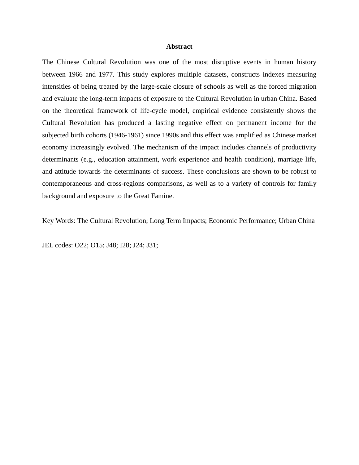#### **Abstract**

The Chinese Cultural Revolution was one of the most disruptive events in human history between 1966 and 1977. This study explores multiple datasets, constructs indexes measuring intensities of being treated by the large-scale closure of schools as well as the forced migration and evaluate the long-term impacts of exposure to the Cultural Revolution in urban China. Based on the theoretical framework of life-cycle model, empirical evidence consistently shows the Cultural Revolution has produced a lasting negative effect on permanent income for the subjected birth cohorts (1946-1961) since 1990s and this effect was amplified as Chinese market economy increasingly evolved. The mechanism of the impact includes channels of productivity determinants (e.g., education attainment, work experience and health condition), marriage life, and attitude towards the determinants of success. These conclusions are shown to be robust to contemporaneous and cross-regions comparisons, as well as to a variety of controls for family background and exposure to the Great Famine.

Key Words: The Cultural Revolution; Long Term Impacts; Economic Performance; Urban China

JEL codes: O22; O15; J48; I28; J24; J31;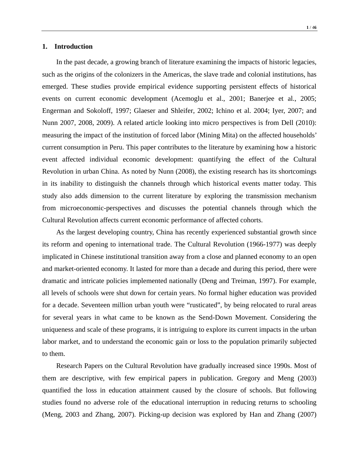#### **1. Introduction**

In the past decade, a growing branch of literature examining the impacts of historic legacies, such as the origins of the colonizers in the Americas, the slave trade and colonial institutions, has emerged. These studies provide empirical evidence supporting persistent effects of historical events on current economic development (Acemoglu et al., 2001; Banerjee et al., 2005; Engerman and Sokoloff, 1997; Glaeser and Shleifer, 2002; Ichino et al. 2004; Iyer, 2007; and Nunn 2007, 2008, 2009). A related article looking into micro perspectives is from Dell (2010): measuring the impact of the institution of forced labor (Mining Mita) on the affected households' current consumption in Peru. This paper contributes to the literature by examining how a historic event affected individual economic development: quantifying the effect of the Cultural Revolution in urban China. As noted by Nunn (2008), the existing research has its shortcomings in its inability to distinguish the channels through which historical events matter today. This study also adds dimension to the current literature by exploring the transmission mechanism from microeconomic-perspectives and discusses the potential channels through which the Cultural Revolution affects current economic performance of affected cohorts.

As the largest developing country, China has recently experienced substantial growth since its reform and opening to international trade. The Cultural Revolution (1966-1977) was deeply implicated in Chinese institutional transition away from a close and planned economy to an open and market-oriented economy. It lasted for more than a decade and during this period, there were dramatic and intricate policies implemented nationally (Deng and Treiman, 1997). For example, all levels of schools were shut down for certain years. No formal higher education was provided for a decade. Seventeen million urban youth were "rusticated", by being relocated to rural areas for several years in what came to be known as the Send-Down Movement. Considering the uniqueness and scale of these programs, it is intriguing to explore its current impacts in the urban labor market, and to understand the economic gain or loss to the population primarily subjected to them.

Research Papers on the Cultural Revolution have gradually increased since 1990s. Most of them are descriptive, with few empirical papers in publication. Gregory and Meng (2003) quantified the loss in education attainment caused by the closure of schools. But following studies found no adverse role of the educational interruption in reducing returns to schooling (Meng, 2003 and Zhang, 2007). Picking-up decision was explored by Han and Zhang (2007)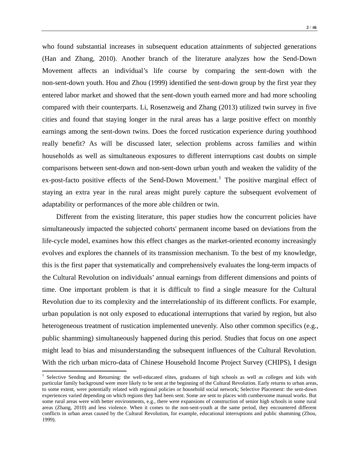who found substantial increases in subsequent education attainments of subjected generations (Han and Zhang, 2010). Another branch of the literature analyzes how the Send-Down Movement affects an individual's life course by comparing the sent-down with the non-sent-down youth. Hou and Zhou (1999) identified the sent-down group by the first year they entered labor market and showed that the sent-down youth earned more and had more schooling compared with their counterparts. Li, Rosenzweig and Zhang (2013) utilized twin survey in five cities and found that staying longer in the rural areas has a large positive effect on monthly earnings among the sent-down twins. Does the forced rustication experience during youthhood really benefit? As will be discussed later, selection problems across families and within households as well as simultaneous exposures to different interruptions cast doubts on simple comparisons between sent-down and non-sent-down urban youth and weaken the validity of the ex-post-facto positive effects of the Send-Down Movement.<sup>[1](#page-3-0)</sup> The positive marginal effect of staying an extra year in the rural areas might purely capture the subsequent evolvement of adaptability or performances of the more able children or twin.

Different from the existing literature, this paper studies how the concurrent policies have simultaneously impacted the subjected cohorts' permanent income based on deviations from the life-cycle model, examines how this effect changes as the market-oriented economy increasingly evolves and explores the channels of its transmission mechanism. To the best of my knowledge, this is the first paper that systematically and comprehensively evaluates the long-term impacts of the Cultural Revolution on individuals' annual earnings from different dimensions and points of time. One important problem is that it is difficult to find a single measure for the Cultural Revolution due to its complexity and the interrelationship of its different conflicts. For example, urban population is not only exposed to educational interruptions that varied by region, but also heterogeneous treatment of rustication implemented unevenly. Also other common specifics (e.g., public shamming) simultaneously happened during this period. Studies that focus on one aspect might lead to bias and misunderstanding the subsequent influences of the Cultural Revolution. With the rich urban micro-data of Chinese Household Income Project Survey (CHIPS), I design

<span id="page-3-0"></span><sup>&</sup>lt;sup>1</sup> Selective Sending and Returning: the well-educated elites, graduates of high schools as well as colleges and kids with particular family background were more likely to be sent at the beginning of the Cultural Revolution. Early returns to urban areas, to some extent, were potentially related with regional policies or household social network; Selective Placement: the sent-down experiences varied depending on which regions they had been sent. Some are sent to places with cumbersome manual works. But some rural areas were with better environments, e.g., there were expansions of construction of senior high schools in some rural areas (Zhang, 2010) and less violence. When it comes to the non-sent-youth at the same period, they encountered different conflicts in urban areas caused by the Cultural Revolution, for example, educational interruptions and public shamming (Zhou, 1999).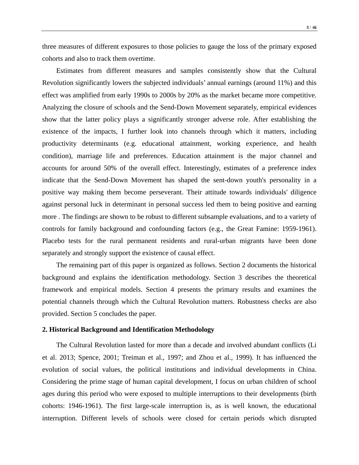three measures of different exposures to those policies to gauge the loss of the primary exposed cohorts and also to track them overtime.

Estimates from different measures and samples consistently show that the Cultural Revolution significantly lowers the subjected individuals' annual earnings (around 11%) and this effect was amplified from early 1990s to 2000s by 20% as the market became more competitive. Analyzing the closure of schools and the Send-Down Movement separately, empirical evidences show that the latter policy plays a significantly stronger adverse role. After establishing the existence of the impacts, I further look into channels through which it matters, including productivity determinants (e.g. educational attainment, working experience, and health condition), marriage life and preferences. Education attainment is the major channel and accounts for around 50% of the overall effect. Interestingly, estimates of a preference index indicate that the Send-Down Movement has shaped the sent-down youth's personality in a positive way making them become perseverant. Their attitude towards individuals' diligence against personal luck in determinant in personal success led them to being positive and earning more . The findings are shown to be robust to different subsample evaluations, and to a variety of controls for family background and confounding factors (e.g., the Great Famine: 1959-1961). Placebo tests for the rural permanent residents and rural-urban migrants have been done separately and strongly support the existence of causal effect.

The remaining part of this paper is organized as follows. Section 2 documents the historical background and explains the identification methodology. Section 3 describes the theoretical framework and empirical models. Section 4 presents the primary results and examines the potential channels through which the Cultural Revolution matters. Robustness checks are also provided. Section 5 concludes the paper.

#### **2. Historical Background and Identification Methodology**

The Cultural Revolution lasted for more than a decade and involved abundant conflicts (Li et al. 2013; Spence, 2001; Treiman et al., 1997; and Zhou et al., 1999). It has influenced the evolution of social values, the political institutions and individual developments in China. Considering the prime stage of human capital development, I focus on urban children of school ages during this period who were exposed to multiple interruptions to their developments (birth cohorts: 1946-1961). The first large-scale interruption is, as is well known, the educational interruption. Different levels of schools were closed for certain periods which disrupted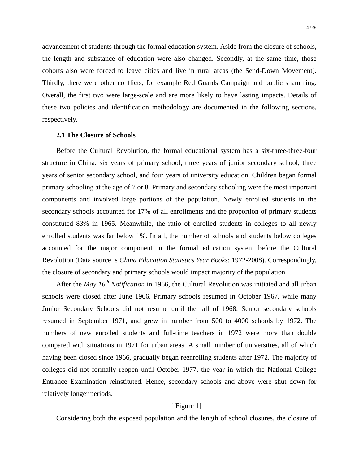advancement of students through the formal education system. Aside from the closure of schools, the length and substance of education were also changed. Secondly, at the same time, those cohorts also were forced to leave cities and live in rural areas (the Send-Down Movement). Thirdly, there were other conflicts, for example Red Guards Campaign and public shamming. Overall, the first two were large-scale and are more likely to have lasting impacts. Details of these two policies and identification methodology are documented in the following sections, respectively.

#### **2.1 The Closure of Schools**

Before the Cultural Revolution, the formal educational system has a six-three-three-four structure in China: six years of primary school, three years of junior secondary school, three years of senior secondary school, and four years of university education. Children began formal primary schooling at the age of 7 or 8. Primary and secondary schooling were the most important components and involved large portions of the population. Newly enrolled students in the secondary schools accounted for 17% of all enrollments and the proportion of primary students constituted 83% in 1965. Meanwhile, the ratio of enrolled students in colleges to all newly enrolled students was far below 1%. In all, the number of schools and students below colleges accounted for the major component in the formal education system before the Cultural Revolution (Data source is *China Education Statistics Year Books*: 1972-2008). Correspondingly, the closure of secondary and primary schools would impact majority of the population.

After the *May 16th Notification* in 1966*,* the Cultural Revolution was initiated and all urban schools were closed after June 1966. Primary schools resumed in October 1967, while many Junior Secondary Schools did not resume until the fall of 1968. Senior secondary schools resumed in September 1971, and grew in number from 500 to 4000 schools by 1972. The numbers of new enrolled students and full-time teachers in 1972 were more than double compared with situations in 1971 for urban areas. A small number of universities, all of which having been closed since 1966, gradually began reenrolling students after 1972. The majority of colleges did not formally reopen until October 1977, the year in which the National College Entrance Examination reinstituted. Hence, secondary schools and above were shut down for relatively longer periods.

#### [ Figure 1]

Considering both the exposed population and the length of school closures, the closure of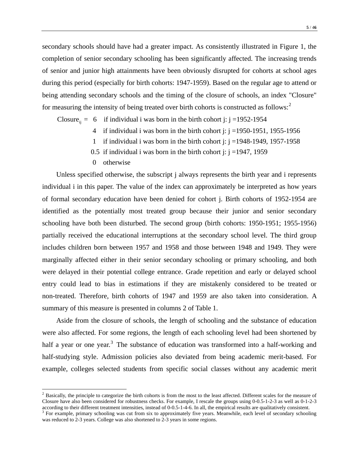secondary schools should have had a greater impact. As consistently illustrated in Figure 1, the completion of senior secondary schooling has been significantly affected. The increasing trends of senior and junior high attainments have been obviously disrupted for cohorts at school ages during this period (especially for birth cohorts: 1947-1959). Based on the regular age to attend or being attending secondary schools and the timing of the closure of schools, an index "Closure" for measuring the intensity of being treated over birth cohorts is constructed as follows:<sup>[2](#page-6-0)</sup>

Closure  $= 6$  if individual i was born in the birth cohort j: j =1952-1954

- 4 if individual i was born in the birth cohort j:  $j = 1950-1951$ , 1955-1956
- 1 if individual i was born in the birth cohort j:  $j = 1948-1949, 1957-1958$
- 0.5 if individual i was born in the birth cohort j:  $j = 1947, 1959$
- 0 otherwise

Unless specified otherwise, the subscript j always represents the birth year and i represents individual i in this paper. The value of the index can approximately be interpreted as how years of formal secondary education have been denied for cohort j. Birth cohorts of 1952-1954 are identified as the potentially most treated group because their junior and senior secondary schooling have both been disturbed. The second group (birth cohorts: 1950-1951; 1955-1956) partially received the educational interruptions at the secondary school level. The third group includes children born between 1957 and 1958 and those between 1948 and 1949. They were marginally affected either in their senior secondary schooling or primary schooling, and both were delayed in their potential college entrance. Grade repetition and early or delayed school entry could lead to bias in estimations if they are mistakenly considered to be treated or non-treated. Therefore, birth cohorts of 1947 and 1959 are also taken into consideration. A summary of this measure is presented in columns 2 of Table 1.

Aside from the closure of schools, the length of schooling and the substance of education were also affected. For some regions, the length of each schooling level had been shortened by half a year or one year.<sup>[3](#page-6-1)</sup> The substance of education was transformed into a half-working and half-studying style. Admission policies also deviated from being academic merit-based. For example, colleges selected students from specific social classes without any academic merit

<span id="page-6-0"></span><sup>&</sup>lt;sup>2</sup> Basically, the principle to categorize the birth cohorts is from the most to the least affected. Different scales for the measure of Closure have also been considered for robustness checks. For example, I rescale the groups using 0-0.5-1-2-3 as well as 0-1-2-3

<span id="page-6-1"></span>according to their different treatment intensities, instead of 0-0.5-1-4-6. In all, the empirical results are qualitatively consistent.<br><sup>3</sup> For example, primary schooling was cut from six to approximately five years. Mean was reduced to 2-3 years. College was also shortened to 2-3 years in some regions.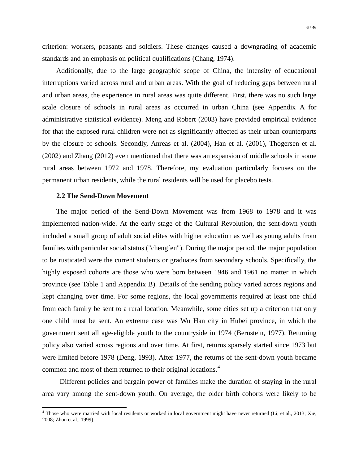criterion: workers, peasants and soldiers. These changes caused a downgrading of academic standards and an emphasis on political qualifications (Chang, 1974).

Additionally, due to the large geographic scope of China, the intensity of educational interruptions varied across rural and urban areas. With the goal of reducing gaps between rural and urban areas, the experience in rural areas was quite different. First, there was no such large scale closure of schools in rural areas as occurred in urban China (see Appendix A for administrative statistical evidence). Meng and Robert (2003) have provided empirical evidence for that the exposed rural children were not as significantly affected as their urban counterparts by the closure of schools. Secondly, Anreas et al. (2004), Han et al. (2001), Thogersen et al. (2002) and Zhang (2012) even mentioned that there was an expansion of middle schools in some rural areas between 1972 and 1978. Therefore, my evaluation particularly focuses on the permanent urban residents, while the rural residents will be used for placebo tests.

#### **2.2 The Send-Down Movement**

The major period of the Send-Down Movement was from 1968 to 1978 and it was implemented nation-wide. At the early stage of the Cultural Revolution, the sent-down youth included a small group of adult social elites with higher education as well as young adults from families with particular social status ("chengfen"). During the major period, the major population to be rusticated were the current students or graduates from secondary schools. Specifically, the highly exposed cohorts are those who were born between 1946 and 1961 no matter in which province (see Table 1 and Appendix B). Details of the sending policy varied across regions and kept changing over time. For some regions, the local governments required at least one child from each family be sent to a rural location. Meanwhile, some cities set up a criterion that only one child must be sent. An extreme case was Wu Han city in Hubei province, in which the government sent all age-eligible youth to the countryside in 1974 (Bernstein, 1977). Returning policy also varied across regions and over time. At first, returns sparsely started since 1973 but were limited before 1978 (Deng, 1993). After 1977, the returns of the sent-down youth became common and most of them returned to their original locations.<sup>[4](#page-7-0)</sup>

Different policies and bargain power of families make the duration of staying in the rural area vary among the sent-down youth. On average, the older birth cohorts were likely to be

<span id="page-7-0"></span><sup>&</sup>lt;sup>4</sup> Those who were married with local residents or worked in local government might have never returned (Li, et al., 2013; Xie, 2008; Zhou et al., 1999).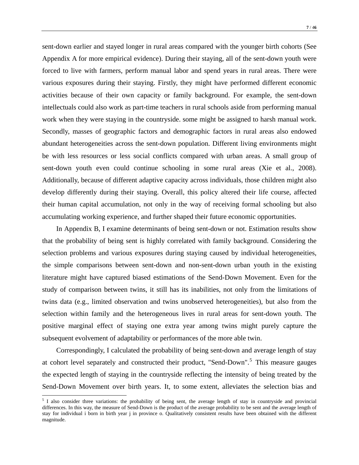sent-down earlier and stayed longer in rural areas compared with the younger birth cohorts (See Appendix A for more empirical evidence). During their staying, all of the sent-down youth were forced to live with farmers, perform manual labor and spend years in rural areas. There were various exposures during their staying. Firstly, they might have performed different economic activities because of their own capacity or family background. For example, the sent-down intellectuals could also work as part-time teachers in rural schools aside from performing manual work when they were staying in the countryside. some might be assigned to harsh manual work. Secondly, masses of geographic factors and demographic factors in rural areas also endowed abundant heterogeneities across the sent-down population. Different living environments might be with less resources or less social conflicts compared with urban areas. A small group of sent-down youth even could continue schooling in some rural areas (Xie et al., 2008). Additionally, because of different adaptive capacity across individuals, those children might also develop differently during their staying. Overall, this policy altered their life course, affected their human capital accumulation, not only in the way of receiving formal schooling but also accumulating working experience, and further shaped their future economic opportunities.

In Appendix B, I examine determinants of being sent-down or not. Estimation results show that the probability of being sent is highly correlated with family background. Considering the selection problems and various exposures during staying caused by individual heterogeneities, the simple comparisons between sent-down and non-sent-down urban youth in the existing literature might have captured biased estimations of the Send-Down Movement. Even for the study of comparison between twins, it still has its inabilities, not only from the limitations of twins data (e.g., limited observation and twins unobserved heterogeneities), but also from the selection within family and the heterogeneous lives in rural areas for sent-down youth. The positive marginal effect of staying one extra year among twins might purely capture the subsequent evolvement of adaptability or performances of the more able twin.

Correspondingly, I calculated the probability of being sent-down and average length of stay at cohort level separately and constructed their product, "Send-Down".<sup>[5](#page-8-0)</sup> This measure gauges the expected length of staying in the countryside reflecting the intensity of being treated by the Send-Down Movement over birth years. It, to some extent, alleviates the selection bias and

<span id="page-8-0"></span><sup>&</sup>lt;sup>5</sup> I also consider three variations: the probability of being sent, the average length of stay in countryside and provincial differences. In this way, the measure of Send-Down is the product of the average probability to be sent and the average length of stay for individual i born in birth year j in province o. Qualitatively consistent results have been obtained with the different magnitude.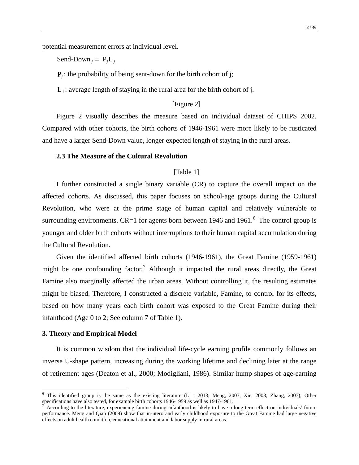potential measurement errors at individual level.

Send-Down  $_i = P_i L_i$ 

P*<sup>j</sup>* : the probability of being sent-down for the birth cohort of j;

L*<sup>j</sup>* : average length of staying in the rural area for the birth cohort of j.

## [Figure 2]

Figure 2 visually describes the measure based on individual dataset of CHIPS 2002. Compared with other cohorts, the birth cohorts of 1946-1961 were more likely to be rusticated and have a larger Send-Down value, longer expected length of staying in the rural areas.

#### **2.3 The Measure of the Cultural Revolution**

#### [Table 1]

I further constructed a single binary variable (CR) to capture the overall impact on the affected cohorts. As discussed, this paper focuses on school-age groups during the Cultural Revolution, who were at the prime stage of human capital and relatively vulnerable to surrounding environments. CR=1 for agents born between 194[6](#page-9-0) and 1961. $^6$  The control group is younger and older birth cohorts without interruptions to their human capital accumulation during the Cultural Revolution.

Given the identified affected birth cohorts (1946-1961), the Great Famine (1959-1961) might be one confounding factor.<sup>[7](#page-9-1)</sup> Although it impacted the rural areas directly, the Great Famine also marginally affected the urban areas. Without controlling it, the resulting estimates might be biased. Therefore, I constructed a discrete variable, Famine, to control for its effects, based on how many years each birth cohort was exposed to the Great Famine during their infanthood (Age 0 to 2; See column 7 of Table 1).

#### **3. Theory and Empirical Model**

It is common wisdom that the individual life-cycle earning profile commonly follows an inverse U-shape pattern, increasing during the working lifetime and declining later at the range of retirement ages (Deaton et al., 2000; Modigliani, 1986). Similar hump shapes of age-earning

<span id="page-9-0"></span> $6$  This identified group is the same as the existing literature (Li, 2013; Meng, 2003; Xie, 2008; Zhang, 2007); Other specifications have also tested, for example birth cohorts 1946-1959 as well as 1947-1961.

<span id="page-9-1"></span>According to the literature, experiencing famine during infanthood is likely to have a long-term effect on individuals' future performance. Meng and Qian (2009) show that in-utero and early childhood exposure to the Great Famine had large negative effects on adult health condition, educational attainment and labor supply in rural areas.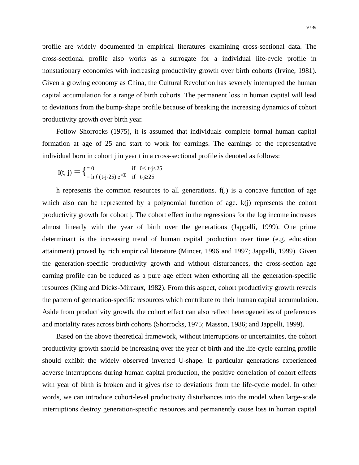profile are widely documented in empirical literatures examining cross-sectional data. The cross-sectional profile also works as a surrogate for a individual life-cycle profile in nonstationary economies with increasing productivity growth over birth cohorts (Irvine, 1981). Given a growing economy as China, the Cultural Revolution has severely interrupted the human capital accumulation for a range of birth cohorts. The permanent loss in human capital will lead to deviations from the bump-shape profile because of breaking the increasing dynamics of cohort productivity growth over birth year.

Follow Shorrocks (1975), it is assumed that individuals complete formal human capital formation at age of 25 and start to work for earnings. The earnings of the representative individual born in cohort j in year t in a cross-sectional profile is denoted as follows:

$$
I(t, j) = \begin{cases} = 0 & \text{if } 0 \le t \text{-j} \le 25\\ = h f(t \text{-j} \text{-} 25) e^{k(j)} & \text{if } t \text{-j} \ge 25 \end{cases}
$$

h represents the common resources to all generations. f(.) is a concave function of age which also can be represented by a polynomial function of age.  $k(j)$  represents the cohort productivity growth for cohort j. The cohort effect in the regressions for the log income increases almost linearly with the year of birth over the generations (Jappelli, 1999). One prime determinant is the increasing trend of human capital production over time (e.g. education attainment) proved by rich empirical literature (Mincer, 1996 and 1997; Jappelli, 1999). Given the generation-specific productivity growth and without disturbances, the cross-section age earning profile can be reduced as a pure age effect when exhorting all the generation-specific resources (King and Dicks-Mireaux, 1982). From this aspect, cohort productivity growth reveals the pattern of generation-specific resources which contribute to their human capital accumulation. Aside from productivity growth, the cohort effect can also reflect heterogeneities of preferences and mortality rates across birth cohorts (Shorrocks, 1975; Masson, 1986; and Jappelli, 1999).

Based on the above theoretical framework, without interruptions or uncertainties, the cohort productivity growth should be increasing over the year of birth and the life-cycle earning profile should exhibit the widely observed inverted U-shape. If particular generations experienced adverse interruptions during human capital production, the positive correlation of cohort effects with year of birth is broken and it gives rise to deviations from the life-cycle model. In other words, we can introduce cohort-level productivity disturbances into the model when large-scale interruptions destroy generation-specific resources and permanently cause loss in human capital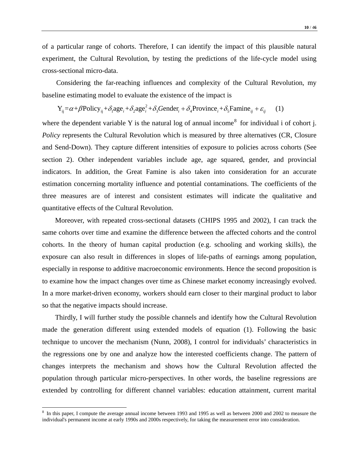of a particular range of cohorts. Therefore, I can identify the impact of this plausible natural experiment, the Cultural Revolution, by testing the predictions of the life-cycle model using cross-sectional micro-data.

Considering the far-reaching influences and complexity of the Cultural Revolution, my baseline estimating model to evaluate the existence of the impact is

$$
Y_{ij} = \alpha + \beta \text{Policy}_{ij} + \delta_i \text{age}_i + \delta_2 \text{age}_i^2 + \delta_3 \text{Gender}_i + \delta_4 \text{Province}_i + \delta_5 \text{Famine}_{ij} + \varepsilon_{ij} \tag{1}
$$

where the dependent variable Y is the natural log of annual income<sup>[8](#page-11-0)</sup> for individual i of cohort j. *Policy* represents the Cultural Revolution which is measured by three alternatives (CR, Closure and Send-Down). They capture different intensities of exposure to policies across cohorts (See section 2). Other independent variables include age, age squared, gender, and provincial indicators. In addition, the Great Famine is also taken into consideration for an accurate estimation concerning mortality influence and potential contaminations. The coefficients of the three measures are of interest and consistent estimates will indicate the qualitative and quantitative effects of the Cultural Revolution.

Moreover, with repeated cross-sectional datasets (CHIPS 1995 and 2002), I can track the same cohorts over time and examine the difference between the affected cohorts and the control cohorts. In the theory of human capital production (e.g. schooling and working skills), the exposure can also result in differences in slopes of life-paths of earnings among population, especially in response to additive macroeconomic environments. Hence the second proposition is to examine how the impact changes over time as Chinese market economy increasingly evolved. In a more market-driven economy, workers should earn closer to their marginal product to labor so that the negative impacts should increase.

 Thirdly, I will further study the possible channels and identify how the Cultural Revolution made the generation different using extended models of equation (1). Following the basic technique to uncover the mechanism (Nunn, 2008), I control for individuals' characteristics in the regressions one by one and analyze how the interested coefficients change. The pattern of changes interprets the mechanism and shows how the Cultural Revolution affected the population through particular micro-perspectives. In other words, the baseline regressions are extended by controlling for different channel variables: education attainment, current marital

<span id="page-11-0"></span><sup>&</sup>lt;sup>8</sup> In this paper, I compute the average annual income between 1993 and 1995 as well as between 2000 and 2002 to measure the individual's permanent income at early 1990s and 2000s respectively, for taking the measurement error into consideration.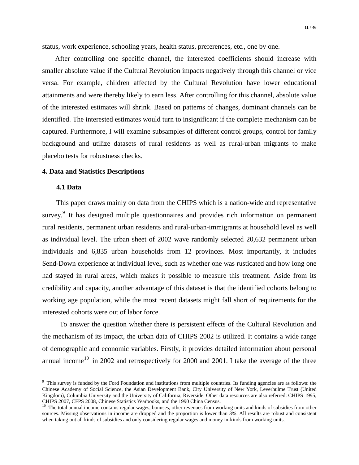status, work experience, schooling years, health status, preferences, etc., one by one.

 After controlling one specific channel, the interested coefficients should increase with smaller absolute value if the Cultural Revolution impacts negatively through this channel or vice versa. For example, children affected by the Cultural Revolution have lower educational attainments and were thereby likely to earn less. After controlling for this channel, absolute value of the interested estimates will shrink. Based on patterns of changes, dominant channels can be identified. The interested estimates would turn to insignificant if the complete mechanism can be captured. Furthermore, I will examine subsamples of different control groups, control for family background and utilize datasets of rural residents as well as rural-urban migrants to make placebo tests for robustness checks.

#### **4. Data and Statistics Descriptions**

#### **4.1 Data**

This paper draws mainly on data from the CHIPS which is a nation-wide and representative survey.<sup>[9](#page-12-0)</sup> It has designed multiple questionnaires and provides rich information on permanent rural residents, permanent urban residents and rural-urban-immigrants at household level as well as individual level. The urban sheet of 2002 wave randomly selected 20,632 permanent urban individuals and 6,835 urban households from 12 provinces. Most importantly, it includes Send-Down experience at individual level, such as whether one was rusticated and how long one had stayed in rural areas, which makes it possible to measure this treatment. Aside from its credibility and capacity, another advantage of this dataset is that the identified cohorts belong to working age population, while the most recent datasets might fall short of requirements for the interested cohorts were out of labor force.

To answer the question whether there is persistent effects of the Cultural Revolution and the mechanism of its impact, the urban data of CHIPS 2002 is utilized. It contains a wide range of demographic and economic variables. Firstly, it provides detailed information about personal annual income<sup>[10](#page-12-1)</sup> in 2002 and retrospectively for 2000 and 2001. I take the average of the three

<span id="page-12-0"></span><sup>&</sup>lt;sup>9</sup> This survey is funded by the Ford Foundation and institutions from multiple countries. Its funding agencies are as follows: the Chinese Academy of Social Science, the Asian Development Bank, City University of New York, Leverhulme Trust (United Kingdom), Columbia University and the University of California, Riverside. Other data resources are also referred: CHIPS 1995, CHIPS 2007, CFPS 2008, Chinese Statistics Yearbooks, and the 1990 China Census.<br><sup>10</sup> The total annual income contains regular wages, bonuses, other revenues from working units and kinds of subsidies from other revenues

<span id="page-12-1"></span>sources. Missing observations in income are dropped and the proportion is lower than 3%. All results are robust and consistent when taking out all kinds of subsidies and only considering regular wages and money in-kinds from working units.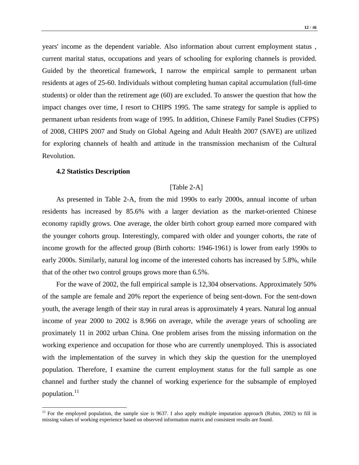years' income as the dependent variable. Also information about current employment status , current marital status, occupations and years of schooling for exploring channels is provided. Guided by the theoretical framework, I narrow the empirical sample to permanent urban residents at ages of 25-60. Individuals without completing human capital accumulation (full-time students) or older than the retirement age (60) are excluded. To answer the question that how the impact changes over time, I resort to CHIPS 1995. The same strategy for sample is applied to permanent urban residents from wage of 1995. In addition, Chinese Family Panel Studies (CFPS) of 2008, CHIPS 2007 and Study on Global Ageing and Adult Health 2007 (SAVE) are utilized for exploring channels of health and attitude in the transmission mechanism of the Cultural Revolution.

#### **4.2 Statistics Description**

#### [Table 2-A]

As presented in Table 2-A, from the mid 1990s to early 2000s, annual income of urban residents has increased by 85.6% with a larger deviation as the market-oriented Chinese economy rapidly grows. One average, the older birth cohort group earned more compared with the younger cohorts group. Interestingly, compared with older and younger cohorts, the rate of income growth for the affected group (Birth cohorts: 1946-1961) is lower from early 1990s to early 2000s. Similarly, natural log income of the interested cohorts has increased by 5.8%, while that of the other two control groups grows more than 6.5%.

For the wave of 2002, the full empirical sample is 12,304 observations. Approximately 50% of the sample are female and 20% report the experience of being sent-down. For the sent-down youth, the average length of their stay in rural areas is approximately 4 years. Natural log annual income of year 2000 to 2002 is 8.966 on average, while the average years of schooling are proximately 11 in 2002 urban China. One problem arises from the missing information on the working experience and occupation for those who are currently unemployed. This is associated with the implementation of the survey in which they skip the question for the unemployed population*.* Therefore, I examine the current employment status for the full sample as one channel and further study the channel of working experience for the subsample of employed population.<sup>[11](#page-13-0)</sup>

<span id="page-13-0"></span> $11$  For the employed population, the sample size is 9637. I also apply multiple imputation approach (Rubin, 2002) to fill in missing values of working experience based on observed information matrix and consistent results are found.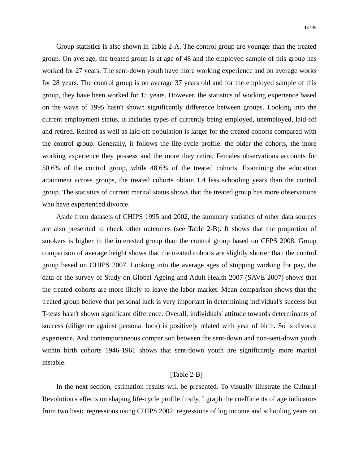Group statistics is also shown in Table 2-A. The control group are younger than the treated group. On average, the treated group is at age of 48 and the employed sample of this group has worked for 27 years. The sent-down youth have more working experience and on average works for 28 years. The control group is on average 37 years old and for the employed sample of this group, they have been worked for 15 years. However, the statistics of working experience based on the wave of 1995 hasn't shown significantly difference between groups. Looking into the current employment status, it includes types of currently being employed, unemployed, laid-off and retired. Retired as well as laid-off population is larger for the treated cohorts compared with the control group. Generally, it follows the life-cycle profile: the older the cohorts, the more working experience they possess and the more they retire. Females observations accounts for 50.6% of the control group, while 48.6% of the treated cohorts. Examining the education attainment across groups, the treated cohorts obtain 1.4 less schooling years than the control group. The statistics of current marital status shows that the treated group has more observations who have experienced divorce.

Aside from datasets of CHIPS 1995 and 2002, the summary statistics of other data sources are also presented to check other outcomes (see Table 2-B). It shows that the proportion of smokers is higher in the interested group than the control group based on CFPS 2008. Group comparison of average height shows that the treated cohorts are slightly shorter than the control group based on CHIPS 2007. Looking into the average ages of stopping working for pay, the data of the survey of Study on Global Ageing and Adult Health 2007 (SAVE 2007) shows that the treated cohorts are more likely to leave the labor market. Mean comparison shows that the treated group believe that personal luck is very important in determining individual's success but T-tests hasn't shown significant difference. Overall, individuals' attitude towards determinants of success (diligence against personal luck) is positively related with year of birth. So is divorce experience. And contemporaneous comparison between the sent-down and non-sent-down youth within birth cohorts 1946-1961 shows that sent-down youth are significantly more marital instable.

#### [Table 2-B]

In the next section, estimation results will be presented. To visually illustrate the Cultural Revolution's effects on shaping life-cycle profile firstly, I graph the coefficients of age indicators from two basic regressions using CHIPS 2002: regressions of log income and schooling years on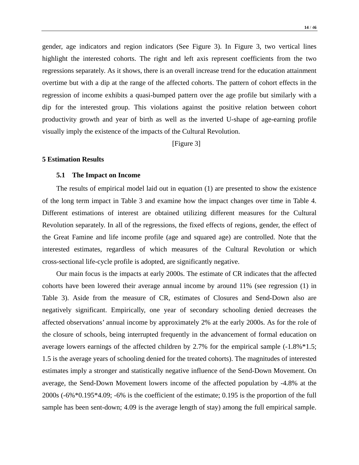gender, age indicators and region indicators (See Figure 3). In Figure 3, two vertical lines highlight the interested cohorts. The right and left axis represent coefficients from the two regressions separately. As it shows, there is an overall increase trend for the education attainment overtime but with a dip at the range of the affected cohorts. The pattern of cohort effects in the regression of income exhibits a quasi-bumped pattern over the age profile but similarly with a dip for the interested group. This violations against the positive relation between cohort productivity growth and year of birth as well as the inverted U-shape of age-earning profile visually imply the existence of the impacts of the Cultural Revolution.

[Figure 3]

#### **5 Estimation Results**

#### **5.1 The Impact on Income**

The results of empirical model laid out in equation (1) are presented to show the existence of the long term impact in Table 3 and examine how the impact changes over time in Table 4. Different estimations of interest are obtained utilizing different measures for the Cultural Revolution separately. In all of the regressions, the fixed effects of regions, gender, the effect of the Great Famine and life income profile (age and squared age) are controlled. Note that the interested estimates, regardless of which measures of the Cultural Revolution or which cross-sectional life-cycle profile is adopted, are significantly negative.

Our main focus is the impacts at early 2000s. The estimate of CR indicates that the affected cohorts have been lowered their average annual income by around 11% (see regression (1) in Table 3). Aside from the measure of CR, estimates of Closures and Send-Down also are negatively significant. Empirically, one year of secondary schooling denied decreases the affected observations' annual income by approximately 2% at the early 2000s. As for the role of the closure of schools, being interrupted frequently in the advancement of formal education on average lowers earnings of the affected children by 2.7% for the empirical sample (-1.8%\*1.5; 1.5 is the average years of schooling denied for the treated cohorts). The magnitudes of interested estimates imply a stronger and statistically negative influence of the Send-Down Movement. On average, the Send-Down Movement lowers income of the affected population by -4.8% at the 2000s (-6%\*0.195\*4.09; -6% is the coefficient of the estimate; 0.195 is the proportion of the full sample has been sent-down; 4.09 is the average length of stay) among the full empirical sample.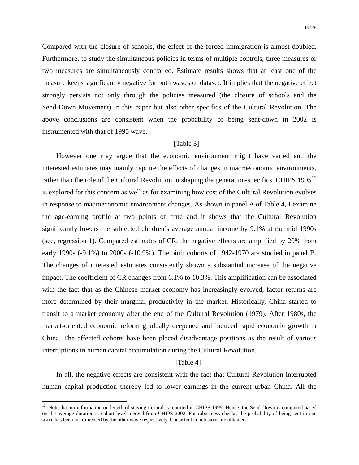**15** / 4**6**

Compared with the closure of schools, the effect of the forced immigration is almost doubled. Furthermore, to study the simultaneous policies in terms of multiple controls, three measures or two measures are simultaneously controlled. Estimate results shows that at least one of the measure keeps significantly negative for both waves of dataset. It implies that the negative effect strongly persists not only through the policies measured (the closure of schools and the Send-Down Movement) in this paper but also other specifics of the Cultural Revolution. The above conclusions are consistent when the probability of being sent-down in 2002 is instrumented with that of 1995 wave.

#### [Table 3]

However one may argue that the economic environment might have varied and the interested estimates may mainly capture the effects of changes in macroeconomic environments, rather than the role of the Cultural Revolution in shaping the generation-specifics. CHIPS  $1995^{12}$  $1995^{12}$  $1995^{12}$ is explored for this concern as well as for examining how cost of the Cultural Revolution evolves in response to macroeconomic environment changes. As shown in panel A of Table 4, I examine the age-earning profile at two points of time and it shows that the Cultural Revolution significantly lowers the subjected children's average annual income by 9.1% at the mid 1990s (see, regression 1). Compared estimates of CR, the negative effects are amplified by 20% from early 1990s (-9.1%) to 2000s (-10.9%). The birth cohorts of 1942-1970 are studied in panel B. The changes of interested estimates consistently shown a substantial increase of the negative impact. The coefficient of CR changes from 6.1% to 10.3%. This amplification can be associated with the fact that as the Chinese market economy has increasingly evolved, factor returns are more determined by their marginal productivity in the market. Historically, China started to transit to a market economy after the end of the Cultural Revolution (1979). After 1980s, the market-oriented economic reform gradually deepened and induced rapid economic growth in China. The affected cohorts have been placed disadvantage positions as the result of various interruptions in human capital accumulation during the Cultural Revolution.

#### [Table 4]

In all, the negative effects are consistent with the fact that Cultural Revolution interrupted human capital production thereby led to lower earnings in the current urban China. All the

<span id="page-16-0"></span><sup>&</sup>lt;sup>12</sup> Note that no information on length of staying in rural is reported in CHIPS 1995. Hence, the Send-Down is computed based on the average duration at cohort level merged from CHIPS 2002. For robustness checks, the probability of being sent in one wave has been instrumented by the other wave respectively. Consistent conclusions are obtained.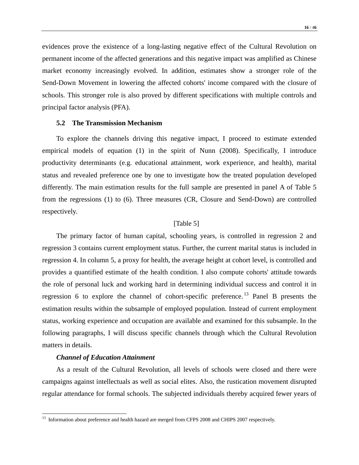evidences prove the existence of a long-lasting negative effect of the Cultural Revolution on permanent income of the affected generations and this negative impact was amplified as Chinese market economy increasingly evolved. In addition, estimates show a stronger role of the Send-Down Movement in lowering the affected cohorts' income compared with the closure of schools. This stronger role is also proved by different specifications with multiple controls and principal factor analysis (PFA).

#### **5.2 The Transmission Mechanism**

To explore the channels driving this negative impact, I proceed to estimate extended empirical models of equation (1) in the spirit of Nunn (2008). Specifically, I introduce productivity determinants (e.g. educational attainment, work experience, and health), marital status and revealed preference one by one to investigate how the treated population developed differently. The main estimation results for the full sample are presented in panel A of Table 5 from the regressions (1) to (6). Three measures (CR, Closure and Send-Down) are controlled respectively.

#### [Table 5]

The primary factor of human capital, schooling years, is controlled in regression 2 and regression 3 contains current employment status. Further, the current marital status is included in regression 4. In column 5, a proxy for health, the average height at cohort level, is controlled and provides a quantified estimate of the health condition. I also compute cohorts' attitude towards the role of personal luck and working hard in determining individual success and control it in regression 6 to explore the channel of cohort-specific preference.<sup>[13](#page-17-0)</sup> Panel B presents the estimation results within the subsample of employed population. Instead of current employment status, working experience and occupation are available and examined for this subsample. In the following paragraphs, I will discuss specific channels through which the Cultural Revolution matters in details.

#### *Channel of Education Attainment*

As a result of the Cultural Revolution, all levels of schools were closed and there were campaigns against intellectuals as well as social elites. Also, the rustication movement disrupted regular attendance for formal schools. The subjected individuals thereby acquired fewer years of

<span id="page-17-0"></span><sup>&</sup>lt;sup>13</sup> Information about preference and health hazard are merged from CFPS 2008 and CHIPS 2007 respectively.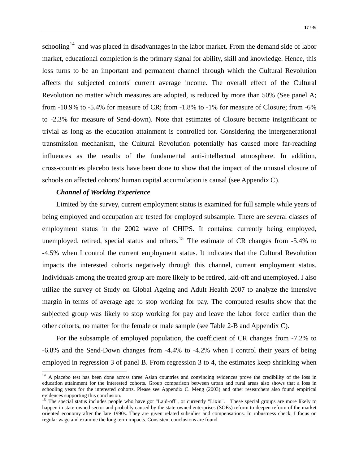schooling<sup>[14](#page-18-0)</sup> and was placed in disadvantages in the labor market. From the demand side of labor market, educational completion is the primary signal for ability, skill and knowledge. Hence, this loss turns to be an important and permanent channel through which the Cultural Revolution affects the subjected cohorts' current average income. The overall effect of the Cultural Revolution no matter which measures are adopted, is reduced by more than 50% (See panel A; from -10.9% to -5.4% for measure of CR; from -1.8% to -1% for measure of Closure; from -6% to -2.3% for measure of Send-down). Note that estimates of Closure become insignificant or trivial as long as the education attainment is controlled for. Considering the intergenerational transmission mechanism, the Cultural Revolution potentially has caused more far-reaching influences as the results of the fundamental anti-intellectual atmosphere. In addition, cross-countries placebo tests have been done to show that the impact of the unusual closure of schools on affected cohorts' human capital accumulation is causal (see Appendix C).

#### *Channel of Working Experience*

Limited by the survey, current employment status is examined for full sample while years of being employed and occupation are tested for employed subsample. There are several classes of employment status in the 2002 wave of CHIPS. It contains: currently being employed, unemployed, retired, special status and others.<sup>[15](#page-18-1)</sup> The estimate of CR changes from  $-5.4\%$  to -4.5% when I control the current employment status. It indicates that the Cultural Revolution impacts the interested cohorts negatively through this channel, current employment status. Individuals among the treated group are more likely to be retired, laid-off and unemployed. I also utilize the survey of Study on Global Ageing and Adult Health 2007 to analyze the intensive margin in terms of average age to stop working for pay. The computed results show that the subjected group was likely to stop working for pay and leave the labor force earlier than the other cohorts, no matter for the female or male sample (see Table 2-B and Appendix C).

For the subsample of employed population, the coefficient of CR changes from -7.2% to -6.8% and the Send-Down changes from -4.4% to -4.2% when I control their years of being employed in regression 3 of panel B. From regression 3 to 4, the estimates keep shrinking when

<span id="page-18-0"></span><sup>&</sup>lt;sup>14</sup> A placebo test has been done across three Asian countries and convincing evidences prove the credibility of the loss in education attainment for the interested cohorts. Group comparison between urban and rural areas also shows that a loss in schooling years for the interested cohorts. Please see Appendix C. Meng (2003) and other researchers also found empirical evidences supporting this conclusion.

<span id="page-18-1"></span><sup>&</sup>lt;sup>15</sup> The special status includes people who have got "Laid-off", or currently "Lixiu". These special groups are more likely to happen in state-owned sector and probably caused by the state-owned enterprises (SOEs) reform to deepen reform of the market oriented economy after the late 1990s. They are given related subsidies and compensations. In robustness check, I focus on regular wage and examine the long term impacts. Consistent conclusions are found.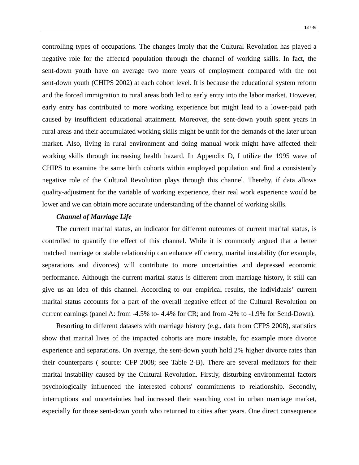controlling types of occupations. The changes imply that the Cultural Revolution has played a negative role for the affected population through the channel of working skills. In fact, the sent-down youth have on average two more years of employment compared with the not sent-down youth (CHIPS 2002) at each cohort level. It is because the educational system reform and the forced immigration to rural areas both led to early entry into the labor market. However, early entry has contributed to more working experience but might lead to a lower-paid path caused by insufficient educational attainment. Moreover, the sent-down youth spent years in rural areas and their accumulated working skills might be unfit for the demands of the later urban market. Also, living in rural environment and doing manual work might have affected their working skills through increasing health hazard. In Appendix D, I utilize the 1995 wave of CHIPS to examine the same birth cohorts within employed population and find a consistently negative role of the Cultural Revolution plays through this channel. Thereby, if data allows quality-adjustment for the variable of working experience, their real work experience would be lower and we can obtain more accurate understanding of the channel of working skills.

#### *Channel of Marriage Life*

The current marital status, an indicator for different outcomes of current marital status, is controlled to quantify the effect of this channel. While it is commonly argued that a better matched marriage or stable relationship can enhance efficiency, marital instability (for example, separations and divorces) will contribute to more uncertainties and depressed economic performance. Although the current marital status is different from marriage history, it still can give us an idea of this channel. According to our empirical results, the individuals' current marital status accounts for a part of the overall negative effect of the Cultural Revolution on current earnings (panel A: from -4.5% to- 4.4% for CR; and from -2% to -1.9% for Send-Down).

Resorting to different datasets with marriage history (e.g., data from CFPS 2008), statistics show that marital lives of the impacted cohorts are more instable, for example more divorce experience and separations. On average, the sent-down youth hold 2% higher divorce rates than their counterparts ( source: CFP 2008; see Table 2-B). There are several mediators for their marital instability caused by the Cultural Revolution. Firstly, disturbing environmental factors psychologically influenced the interested cohorts' commitments to relationship. Secondly, interruptions and uncertainties had increased their searching cost in urban marriage market, especially for those sent-down youth who returned to cities after years. One direct consequence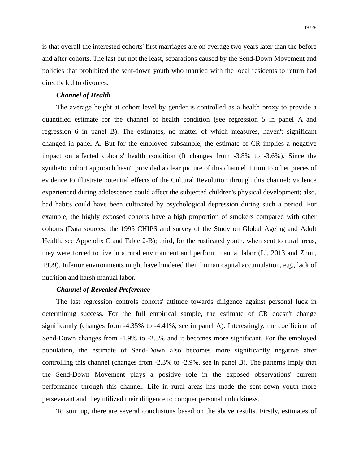is that overall the interested cohorts' first marriages are on average two years later than the before and after cohorts. The last but not the least, separations caused by the Send-Down Movement and policies that prohibited the sent-down youth who married with the local residents to return had directly led to divorces.

#### *Channel of Health*

The average height at cohort level by gender is controlled as a health proxy to provide a quantified estimate for the channel of health condition (see regression 5 in panel A and regression 6 in panel B). The estimates, no matter of which measures, haven't significant changed in panel A. But for the employed subsample, the estimate of CR implies a negative impact on affected cohorts' health condition (It changes from -3.8% to -3.6%). Since the synthetic cohort approach hasn't provided a clear picture of this channel, I turn to other pieces of evidence to illustrate potential effects of the Cultural Revolution through this channel: violence experienced during adolescence could affect the subjected children's physical development; also, bad habits could have been cultivated by [psychological](http://dict.cn/psychological) depression during such a period. For example, the highly exposed cohorts have a high proportion of smokers compared with other cohorts (Data sources: the 1995 CHIPS and survey of the Study on Global Ageing and Adult Health, see Appendix C and Table 2-B); third, for the rusticated youth, when sent to rural areas, they were forced to live in a rural environment and perform manual labor (Li, 2013 and Zhou, 1999). [Inferior](http://dict.cn/inferior) environments might have hindered their human capital accumulation, e.g., lack of nutrition and harsh manual labor.

#### *Channel of Revealed Preference*

The last regression controls cohorts' attitude towards diligence against personal luck in determining success. For the full empirical sample, the estimate of CR doesn't change significantly (changes from -4.35% to -4.41%, see in panel A). Interestingly, the coefficient of Send-Down changes from -1.9% to -2.3% and it becomes more significant. For the employed population, the estimate of Send-Down also becomes more significantly negative after controlling this channel (changes from -2.3% to -2.9%, see in panel B). The patterns imply that the Send-Down Movement plays a positive role in the exposed observations' current performance through this channel. Life in rural areas has made the sent-down youth more perseverant and they utilized their diligence to conquer personal unluckiness.

To sum up, there are several conclusions based on the above results. Firstly, estimates of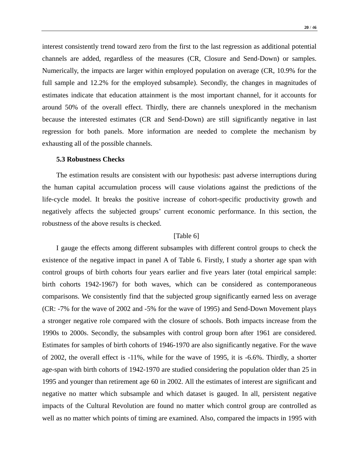**20** / 4**6**

interest consistently trend toward zero from the first to the last regression as additional potential channels are added, regardless of the measures (CR, Closure and Send-Down) or samples. Numerically, the impacts are larger within employed population on average (CR, 10.9% for the full sample and 12.2% for the employed subsample). Secondly, the changes in magnitudes of estimates indicate that education attainment is the most important channel, for it accounts for around 50% of the overall effect. Thirdly, there are channels unexplored in the mechanism because the interested estimates (CR and Send-Down) are still significantly negative in last regression for both panels. More information are needed to complete the mechanism by exhausting all of the possible channels.

#### **5.3 Robustness Checks**

The estimation results are consistent with our hypothesis: past adverse interruptions during the human capital accumulation process will cause violations against the predictions of the life-cycle model. It breaks the positive increase of cohort-specific productivity growth and negatively affects the subjected groups' current economic performance. In this section, the robustness of the above results is checked.

#### [Table 6]

I gauge the effects among different subsamples with different control groups to check the existence of the negative impact in panel A of Table 6. Firstly, I study a shorter age span with control groups of birth cohorts four years earlier and five years later (total empirical sample: birth cohorts 1942-1967) for both waves, which can be considered as contemporaneous comparisons. We consistently find that the subjected group significantly earned less on average (CR: -7% for the wave of 2002 and -5% for the wave of 1995) and Send-Down Movement plays a stronger negative role compared with the closure of schools. Both impacts increase from the 1990s to 2000s. Secondly, the subsamples with control group born after 1961 are considered. Estimates for samples of birth cohorts of 1946-1970 are also significantly negative. For the wave of 2002, the overall effect is -11%, while for the wave of 1995, it is -6.6%. Thirdly, a shorter age-span with birth cohorts of 1942-1970 are studied considering the population older than 25 in 1995 and younger than retirement age 60 in 2002. All the estimates of interest are significant and negative no matter which subsample and which dataset is gauged. In all, persistent negative impacts of the Cultural Revolution are found no matter which control group are controlled as well as no matter which points of timing are examined. Also, compared the impacts in 1995 with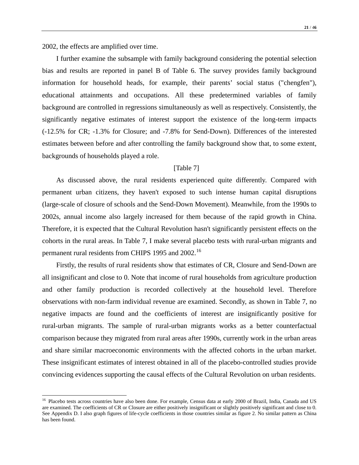I further examine the subsample with family background considering the potential selection bias and results are reported in panel B of Table 6. The survey provides family background information for household heads, for example, their parents' social status ("chengfen"), educational attainments and occupations. All these predetermined variables of family background are controlled in regressions simultaneously as well as respectively. Consistently, the significantly negative estimates of interest support the existence of the long-term impacts (-12.5% for CR; -1.3% for Closure; and -7.8% for Send-Down). Differences of the interested estimates between before and after controlling the family background show that, to some extent, backgrounds of households played a role.

#### [Table 7]

As discussed above, the rural residents experienced quite differently. Compared with permanent urban citizens, they haven't exposed to such intense human capital disruptions (large-scale of closure of schools and the Send-Down Movement). Meanwhile, from the 1990s to 2002s, annual income also largely increased for them because of the rapid growth in China. Therefore, it is expected that the Cultural Revolution hasn't significantly persistent effects on the cohorts in the rural areas. In Table 7, I make several placebo tests with rural-urban migrants and permanent rural residents from CHIPS 1995 and 2002.<sup>[16](#page-22-0)</sup>

Firstly, the results of rural residents show that estimates of CR, Closure and Send-Down are all insignificant and close to 0. Note that income of rural households from agriculture production and other family production is recorded collectively at the household level. Therefore observations with non-farm individual revenue are examined. Secondly, as shown in Table 7, no negative impacts are found and the coefficients of interest are insignificantly positive for rural-urban migrants. The sample of rural-urban migrants works as a better counterfactual comparison because they migrated from rural areas after 1990s, currently work in the urban areas and share similar macroeconomic environments with the affected cohorts in the urban market. These insignificant estimates of interest obtained in all of the placebo-controlled studies provide convincing evidences supporting the causal effects of the Cultural Revolution on urban residents.

<span id="page-22-0"></span><sup>&</sup>lt;sup>16</sup> Placebo tests across countries have also been done. For example, Census data at early 2000 of Brazil, India, Canada and US are examined. The coefficients of CR or Closure are either positively insignificant or slightly positively significant and close to 0. See Appendix D. I also graph figures of life-cycle coefficients in those countries similar as figure 2. No similar pattern as China has been found.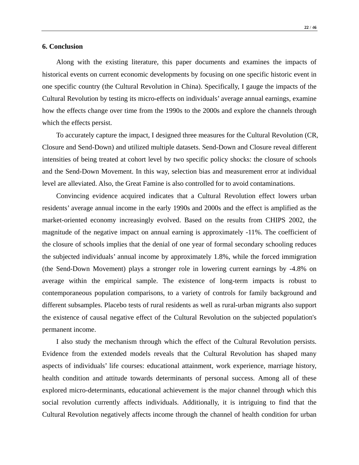#### **6. Conclusion**

Along with the existing literature, this paper documents and examines the impacts of historical events on current economic developments by focusing on one specific historic event in one specific country (the Cultural Revolution in China). Specifically, I gauge the impacts of the Cultural Revolution by testing its micro-effects on individuals' average annual earnings, examine how the effects change over time from the 1990s to the 2000s and explore the channels through which the effects persist.

To accurately capture the impact, I designed three measures for the Cultural Revolution (CR, Closure and Send-Down) and utilized multiple datasets. Send-Down and Closure reveal different intensities of being treated at cohort level by two specific policy shocks: the closure of schools and the Send-Down Movement. In this way, selection bias and measurement error at individual level are alleviated. Also, the Great Famine is also controlled for to avoid contaminations.

Convincing evidence acquired indicates that a Cultural Revolution effect lowers urban residents' average annual income in the early 1990s and 2000s and the effect is amplified as the market-oriented economy increasingly evolved. Based on the results from CHIPS 2002, the magnitude of the negative impact on annual earning is approximately -11%. The coefficient of the closure of schools implies that the denial of one year of formal secondary schooling reduces the subjected individuals' annual income by approximately 1.8%, while the forced immigration (the Send-Down Movement) plays a stronger role in lowering current earnings by -4.8% on average within the empirical sample. The existence of long-term impacts is robust to contemporaneous population comparisons, to a variety of controls for family background and different subsamples. Placebo tests of rural residents as well as rural-urban migrants also support the existence of causal negative effect of the Cultural Revolution on the subjected population's permanent income.

I also study the mechanism through which the effect of the Cultural Revolution persists. Evidence from the extended models reveals that the Cultural Revolution has shaped many aspects of individuals' life courses: educational attainment, work experience, marriage history, health condition and attitude towards determinants of personal success. Among all of these explored micro-determinants, educational achievement is the major channel through which this social revolution currently affects individuals. Additionally, it is intriguing to find that the Cultural Revolution negatively affects income through the channel of health condition for urban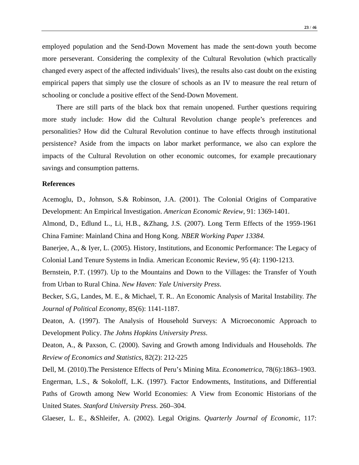employed population and the Send-Down Movement has made the sent-down youth become more perseverant. Considering the complexity of the Cultural Revolution (which practically changed every aspect of the affected individuals' lives), the results also cast doubt on the existing empirical papers that simply use the closure of schools as an IV to measure the real return of schooling or conclude a positive effect of the Send-Down Movement.

There are still parts of the black box that remain unopened. Further questions requiring more study include: How did the Cultural Revolution change people's preferences and personalities? How did the Cultural Revolution continue to have effects through institutional persistence? Aside from the impacts on labor market performance, we also can explore the impacts of the Cultural Revolution on other economic outcomes, for example precautionary savings and consumption patterns.

#### **References**

Acemoglu, D., Johnson, S.& Robinson, J.A. (2001). The Colonial Origins of Comparative Development: An Empirical Investigation. *American Economic Review*, 91: 1369-1401.

Almond, D., Edlund L., Li, H.B., &Zhang, J.S. (2007). Long Term Effects of the 1959-1961 China Famine: Mainland China and Hong Kong. *NBER Working Paper 13384.*

Banerjee, A., & Iyer, L. (2005). History, Institutions, and Economic Performance: The Legacy of Colonial Land Tenure Systems in India. American Economic Review, 95 (4): 1190-1213.

Bernstein, P.T. (1997). Up to the Mountains and Down to the Villages: the Transfer of Youth from Urban to Rural China. *New Haven: Yale University Press*.

Becker, S.G., Landes, M. E., & Michael, T. R.. An Economic Analysis of Marital Instability. *The Journal of Political Economy*, 85(6): 1141-1187.

Deaton, A. (1997). The Analysis of Household Surveys: A Microeconomic Approach to Development Policy. *The Johns Hopkins University Press*.

Deaton, A., & Paxson, C. (2000). Saving and Growth among Individuals and Households. *The Review of Economics and Statistics*, 82(2): 212-225

Dell, M. (2010).The Persistence Effects of Peru's Mining Mita. *Econometrica*, 78(6):1863–1903. Engerman, L.S., & Sokoloff, L.K. (1997). Factor Endowments, Institutions, and Differential Paths of Growth among New World Economies: A View from Economic Historians of the United States. *Stanford University Press*. 260–304.

Glaeser, L. E., &Shleifer, A. (2002). Legal Origins. *Quarterly Journal of Economic,* 117: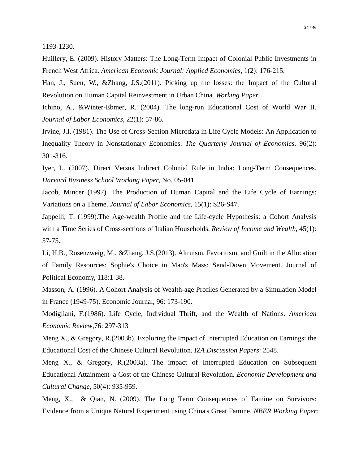1193-1230.

Huillery, E. (2009). History Matters: The Long-Term Impact of Colonial Public Investments in French West Africa. *American Economic Journal: Applied Economics*, 1(2): 176-215.

Han, J., Suen, W., &Zhang, J.S.(2011). Picking up the losses: the Impact of the Cultural Revolution on Human Capital Reinvestment in Urban China. *Working Paper*.

Ichino, A., &Winter-Ebmer, R. (2004). The long-run Educational Cost of World War II. *Journal of Labor Economics*, 22(1): 57-86.

Irvine, J.I. (1981). The Use of Cross-Section Microdata in Life Cycle Models: An Application to Inequality Theory in Nonstationary Economies. *The Quarterly Journal of Economics*, 96(2): 301-316.

Iyer, L. (2007). Direct Versus Indirect Colonial Rule in India: Long-Term Consequences. *Harvard Business School Working Paper*, No. 05-041

Jacob, Mincer (1997). The Production of Human Capital and the Life Cycle of Earnings: Variations on a Theme. *Journal of Labor Economics*, 15(1): S26-S47.

Jappelli, T. (1999).The Age-wealth Profile and the Life-cycle Hypothesis: a Cohort Analysis with a Time Series of Cross-sections of Italian Households. *Review of Income and Wealth,* 45(1): 57-75.

Li, H.B., Rosenzweig, M., &Zhang, J.S.(2013). Altruism, Favoritism, and Guilt in the Allocation of Family Resources: Sophie's Choice in Mao's Mass: Send-Down Movement. Journal of Political Economy, 118:1-38.

Masson, A. (1996). A Cohort Analysis of Wealth-age Profiles Generated by a Simulation Model in France (1949-75). Economic Journal, 96: 173-190.

Modigliani, F.(1986). Life Cycle, Individual Thrift, and the Wealth of Nations. *American Economic Review,*76: 297-313

Meng X., & Gregory, R.(2003b). Exploring the Impact of Interrupted Education on Earnings: the Educational Cost of the Chinese Cultural Revolution. *IZA Discussion Papers*: 2548.

Meng X., & Gregory, R.(2003a). The impact of Interrupted Education on Subsequent Educational Attainment–a Cost of the Chinese Cultural Revolution. *Economic Development and Cultural Change*, 50(4): 935-959.

Meng, X., & Qian, N. (2009). The Long Term Consequences of Famine on Survivors: Evidence from a Unique Natural Experiment using China's Great Famine. *NBER Working Paper:*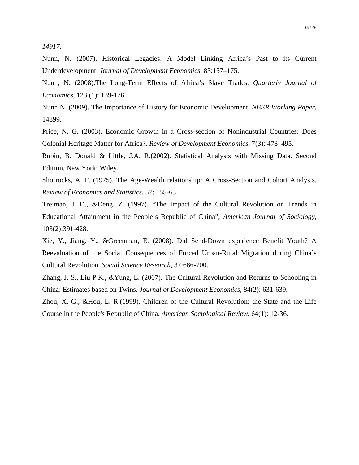Nunn, N. (2007). Historical Legacies: A Model Linking Africa's Past to its Current Underdevelopment. *Journal of Development Economics*, 83:157–175.

Nunn, N. (2008).The Long-Term Effects of Africa's Slave Trades. *Quarterly Journal of Economics*, 123 (1): 139-176

Nunn N. (2009). The Importance of History for Economic Development. *NBER Working Paper*, 14899.

Price, N. G. (2003). Economic Growth in a Cross-section of Nonindustrial Countries: Does Colonial Heritage Matter for Africa?. *Review of Development Economics*, 7(3): 478–495.

Rubin, B. Donald & Little, J.A. R.(2002). Statistical Analysis with Missing Data. Second Edition, New York: Wiley.

Shorrocks, A. F. (1975). The Age-Wealth relationship: A Cross-Section and Cohort Analysis. *Review of Economics and Statistics*, 57: 155-63.

Treiman, J. D., &Deng, Z. (1997), "The Impact of the Cultural Revolution on Trends in Educational Attainment in the People's Republic of China", *American Journal of Sociology*, 103(2):391-428.

Xie, Y., Jiang, Y., &Greenman, E. (2008). Did Send-Down experience Benefit Youth? A Reevaluation of the Social Consequences of Forced Urban-Rural Migration during China's Cultural Revolution. *Social Science Research*, 37:686-700.

Zhang, J. S., Liu P.K., &Yung, L. (2007). The Cultural Revolution and Returns to Schooling in China: Estimates based on Twins. *Journal of Development Economics*, 84(2): 631-639.

Zhou, X. G., &Hou, L. R.(1999). Children of the Cultural Revolution: the State and the Life Course in the People's Republic of China. *American Sociological Review,* 64(1): 12-36.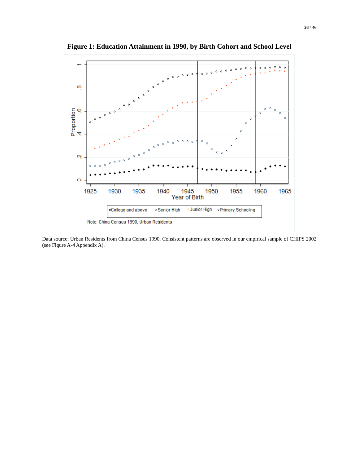

**Figure 1: Education Attainment in 1990, by Birth Cohort and School Level**

Data source: Urban Residents from China Census 1990. Consistent patterns are observed in our empirical sample of CHIPS 2002 (see Figure A-4 Appendix A).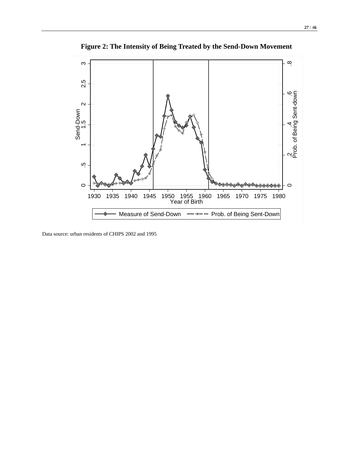

**Figure 2: The Intensity of Being Treated by the Send-Down Movement**

Data source: urban residents of CHIPS 2002 and 1995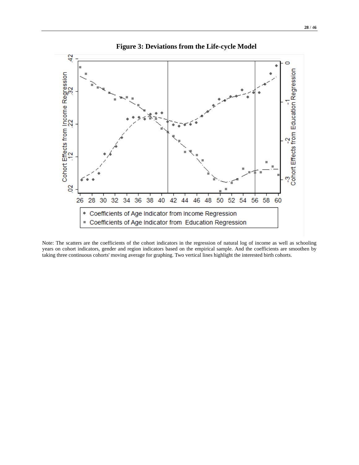

Note: The scatters are the coefficients of the cohort indicators in the regression of natural log of income as well as schooling years on cohort indicators, gender and region indicators based on the empirical sample. And the coefficients are smoothen by taking three continuous cohorts' moving average for graphing. Two vertical lines highlight the interested birth cohorts.

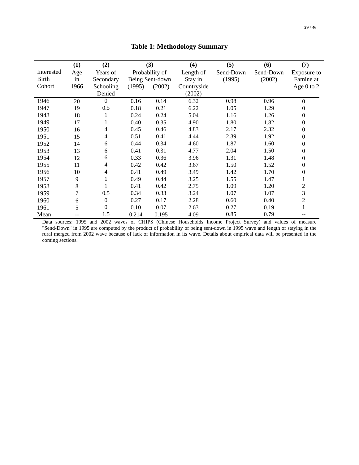## **Table 1: Methodology Summary**

|              | (1)  | (2)              |        | (3)             | (4)         | (5)       | (6)       | (7)              |
|--------------|------|------------------|--------|-----------------|-------------|-----------|-----------|------------------|
| Interested   | Age  | Years of         |        | Probability of  | Length of   | Send-Down | Send-Down | Exposure to      |
| <b>Birth</b> | in   | Secondary        |        | Being Sent-down | Stay in     | (1995)    | (2002)    | Famine at        |
| Cohort       | 1966 | Schooling        | (1995) | (2002)          | Countryside |           |           | Age $0$ to $2$   |
|              |      | Denied           |        |                 | (2002)      |           |           |                  |
| 1946         | 20   | $\mathbf{0}$     | 0.16   | 0.14            | 6.32        | 0.98      | 0.96      | $\mathbf{0}$     |
| 1947         | 19   | 0.5              | 0.18   | 0.21            | 6.22        | 1.05      | 1.29      | $\boldsymbol{0}$ |
| 1948         | 18   | $\bf{l}$         | 0.24   | 0.24            | 5.04        | 1.16      | 1.26      | $\theta$         |
| 1949         | 17   | 1                | 0.40   | 0.35            | 4.90        | 1.80      | 1.82      | $\boldsymbol{0}$ |
| 1950         | 16   | 4                | 0.45   | 0.46            | 4.83        | 2.17      | 2.32      | $\boldsymbol{0}$ |
| 1951         | 15   | 4                | 0.51   | 0.41            | 4.44        | 2.39      | 1.92      | $\theta$         |
| 1952         | 14   | 6                | 0.44   | 0.34            | 4.60        | 1.87      | 1.60      | $\boldsymbol{0}$ |
| 1953         | 13   | 6                | 0.41   | 0.31            | 4.77        | 2.04      | 1.50      | $\boldsymbol{0}$ |
| 1954         | 12   | 6                | 0.33   | 0.36            | 3.96        | 1.31      | 1.48      | $\theta$         |
| 1955         | 11   | 4                | 0.42   | 0.42            | 3.67        | 1.50      | 1.52      | $\boldsymbol{0}$ |
| 1956         | 10   | 4                | 0.41   | 0.49            | 3.49        | 1.42      | 1.70      | $\boldsymbol{0}$ |
| 1957         | 9    | 1                | 0.49   | 0.44            | 3.25        | 1.55      | 1.47      |                  |
| 1958         | 8    | 1                | 0.41   | 0.42            | 2.75        | 1.09      | 1.20      | $\overline{c}$   |
| 1959         | 7    | 0.5              | 0.34   | 0.33            | 3.24        | 1.07      | 1.07      | 3                |
| 1960         | 6    | $\boldsymbol{0}$ | 0.27   | 0.17            | 2.28        | 0.60      | 0.40      | $\overline{c}$   |
| 1961         | 5    | $\boldsymbol{0}$ | 0.10   | 0.07            | 2.63        | 0.27      | 0.19      |                  |
| Mean         |      | 1.5              | 0.214  | 0.195           | 4.09        | 0.85      | 0.79      |                  |

Data sources: 1995 and 2002 waves of CHIPS (Chinese Households Income Project Survey) and values of measure "Send-Down" in 1995 are computed by the product of probability of being sent-down in 1995 wave and length of staying in the rural merged from 2002 wave because of lack of information in its wave. Details about empirical data will be presented in the coming sections.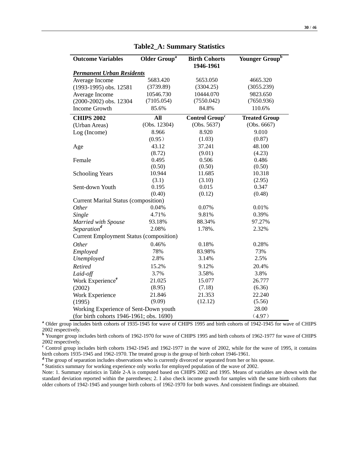| <b>Outcome Variables</b>                           | <b>Older Group<sup>a</sup></b> | <b>Birth Cohorts</b>       | Younger Group <sup>b</sup> |  |  |  |
|----------------------------------------------------|--------------------------------|----------------------------|----------------------------|--|--|--|
|                                                    |                                | 1946-1961                  |                            |  |  |  |
| <b>Permanent Urban Residents</b>                   |                                |                            |                            |  |  |  |
| Average Income                                     | 5683.420                       | 5653.050                   | 4665.320                   |  |  |  |
| (1993-1995) obs. 12581                             | (3739.89)                      | (3304.25)                  | (3055.239)                 |  |  |  |
| Average Income                                     | 10546.730                      | 10444.070                  | 9823.650                   |  |  |  |
| (2000-2002) obs. 12304                             | (7105.054)                     | (7550.042)                 | (7650.936)                 |  |  |  |
| Income Growth                                      | 85.6%                          | 84.8%                      | 110.6%                     |  |  |  |
| <b>CHIPS 2002</b>                                  | All                            | Control Group <sup>c</sup> | <b>Treated Group</b>       |  |  |  |
| (Urban Areas)                                      | (Obs. 12304)                   | (Obs. 5637)                | (Obs. 6667)                |  |  |  |
| Log (Income)                                       | 8.966                          | 8.920                      | 9.010                      |  |  |  |
|                                                    | (0.95)                         | (1.03)                     | (0.87)                     |  |  |  |
| Age                                                | 43.12                          | 37.241                     | 48.100                     |  |  |  |
|                                                    | (8.72)                         | (9.01)                     | (4.23)                     |  |  |  |
| Female                                             | 0.495                          | 0.506                      | 0.486                      |  |  |  |
|                                                    | (0.50)                         | (0.50)                     | (0.50)                     |  |  |  |
| <b>Schooling Years</b>                             | 10.944                         | 11.685                     | 10.318                     |  |  |  |
|                                                    | (3.1)                          | (3.10)                     | (2.95)                     |  |  |  |
| Sent-down Youth                                    | 0.195                          | 0.015                      | 0.347                      |  |  |  |
|                                                    | (0.40)                         | (0.12)                     | (0.48)                     |  |  |  |
| <b>Current Marital Status (composition)</b>        |                                |                            |                            |  |  |  |
| <i>Other</i>                                       | 0.04%                          | 0.07%                      | 0.01%                      |  |  |  |
| Single                                             | 4.71%                          | 9.81%                      | 0.39%                      |  |  |  |
| Married with Spouse                                | 93.18%                         | 88.34%                     | 97.27%                     |  |  |  |
| Separation <sup>d</sup>                            | 2.08%                          | 1.78%.                     | 2.32%                      |  |  |  |
| <b>Current Employment Status (composition)</b>     |                                |                            |                            |  |  |  |
| Other                                              | 0.46%                          | 0.18%                      | 0.28%                      |  |  |  |
| Employed                                           | 78%                            | 83.98%                     | 73%                        |  |  |  |
| Unemployed                                         | 2.8%                           | 3.14%                      | 2.5%                       |  |  |  |
| Retired                                            | 15.2%                          | 9.12%                      | 20.4%                      |  |  |  |
| Laid-off                                           | 3.7%                           | 3.58%                      | 3.8%                       |  |  |  |
| Work Experience <sup>e</sup>                       | 21.025                         | 15.077                     | 26.777                     |  |  |  |
| (2002)                                             | (8.95)                         | (7.18)                     | (6.36)                     |  |  |  |
| Work Experience                                    | 21.846                         | 21.353                     | 22.240                     |  |  |  |
| (1995)                                             | (9.09)                         | (12.12)                    | (5.56)                     |  |  |  |
| Working Experience of Sent-Down youth              |                                |                            | 28.00                      |  |  |  |
| (for birth cohorts 1946-1961; obs. 1690)<br>(4.97) |                                |                            |                            |  |  |  |

#### **Table2\_A: Summary Statistics**

**<sup>a</sup>** Older group includes birth cohorts of 1935-1945 for wave of CHIPS 1995 and birth cohorts of 1942-1945 for wave of CHIPS

<sup>2002</sup> respectively. **<sup>b</sup>** Younger group includes birth cohorts of 1962-1970 for wave of CHIPS 1995 and birth cohorts of 1962-1977 for wave of CHIPS

2002 respectively.<br><sup>c</sup> Control group includes birth cohorts 1942-1945 and 1962-1977 in the wave of 2002, while for the wave of 1995, it contains birth cohorts 1935-1945 and 1962-1970. The treated group is the group of birt

<sup>d</sup> The group of separation includes observations who is currently divorced or separated from her or his spouse.<br><sup>e</sup> Statistics summary for working experience only works for employed population of the wave of 2002.

Note: 1. Summary statistics in Table 2-A is computed based on CHIPS 2002 and 1995. Means of variables are shown with the standard deviation reported within the parentheses; 2. I also check income growth for samples with the same birth cohorts that older cohorts of 1942-1945 and younger birth cohorts of 1962-1970 for both waves. And consistent findings are obtained.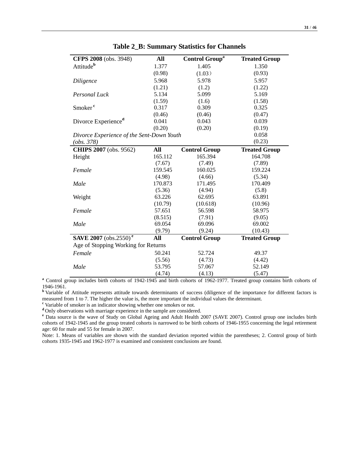| CFPS 2008 (obs. 3948)                     | All     | <b>Control Group<sup>a</sup></b> | <b>Treated Group</b> |
|-------------------------------------------|---------|----------------------------------|----------------------|
| Attitude <sup>b</sup>                     | 1.377   | 1.405                            | 1.350                |
|                                           | (0.98)  | (1.03)                           | (0.93)               |
| Diligence                                 | 5.968   | 5.978                            | 5.957                |
|                                           | (1.21)  | (1.2)                            | (1.22)               |
| Personal Luck                             | 5.134   | 5.099                            | 5.169                |
|                                           | (1.59)  | (1.6)                            | (1.58)               |
| Smoker <sup>c</sup>                       | 0.317   | 0.309                            | 0.325                |
|                                           | (0.46)  | (0.46)                           | (0.47)               |
| Divorce Experience <sup>d</sup>           | 0.041   | 0.043                            | 0.039                |
|                                           | (0.20)  | (0.20)                           | (0.19)               |
| Divorce Experience of the Sent-Down Youth |         |                                  | 0.058                |
| (obs. 378)                                |         | (0.23)                           |                      |
| CHIPS 2007 (obs. 9562)                    | All     | <b>Control Group</b>             | <b>Treated Group</b> |
| Height                                    | 165.112 | 165.394                          | 164.708              |
|                                           | (7.67)  | (7.49)                           | (7.89)               |
| Female                                    | 159.545 | 160.025                          | 159.224              |
|                                           | (4.98)  | (4.66)                           | (5.34)               |
| Male                                      | 170.873 | 171.495                          | 170.409              |
|                                           | (5.36)  | (4.94)                           | (5.8)                |
| Weight                                    | 63.226  | 62.695                           | 63.891               |
|                                           | (10.79) | (10.618)                         | (10.96)              |
| Female                                    | 57.651  | 56.598                           | 58.975               |
|                                           | (8.515) | (7.91)                           | (9.05)               |
| Male                                      | 69.054  | 69.096                           | 69.002               |
|                                           | (9.79)  | (9.24)                           | (10.43)              |
| SAVE 2007 (obs.2550) <sup>e</sup>         | All     | <b>Control Group</b>             | <b>Treated Group</b> |
| Age of Stopping Working for Returns       |         |                                  |                      |
| Female                                    | 50.241  | 52.724                           | 49.37                |
|                                           | (5.56)  | (4.73)                           | (4.42)               |
| Male                                      | 53.795  | 57.067                           | 52.149               |
|                                           | (4.74)  | (4.13)                           | (5.47)               |

| Table 2_B: Summary Statistics for Channels |  |  |
|--------------------------------------------|--|--|
|--------------------------------------------|--|--|

**<sup>a</sup>** Control group includes birth cohorts of 1942-1945 and birth cohorts of 1962-1977. Treated group contains birth cohorts of

1946-1961. **<sup>b</sup>** Variable of Attitude represents attitude towards determinants of success (diligence of the importance for different factors is measured from 1 to 7. The higher the value is, the more important the individual values the determinant.

**<sup>c</sup>** Variable of smoker is an indicator showing whether one smokes or not.

<sup>d</sup>Only observations with marriage experience in the sample are considered.

**<sup>e</sup>** Data source is the wave of Study on Global Ageing and Adult Health 2007 (SAVE 2007). Control group one includes birth cohorts of 1942-1945 and the group treated cohorts is narrowed to be birth cohorts of 1946-1955 concerning the legal retirement age: 60 for male and 55 for female in 2007.

Note: 1. Means of variables are shown with the standard deviation reported within the parentheses; 2. Control group of birth cohorts 1935-1945 and 1962-1977 is examined and consistent conclusions are found.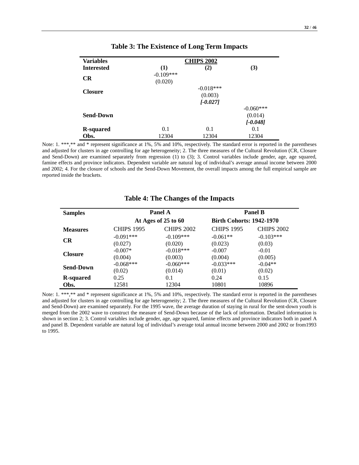| <b>Variables</b>  | <b>CHIPS 2002</b>      |            |             |  |  |  |  |
|-------------------|------------------------|------------|-------------|--|--|--|--|
| <b>Interested</b> | (1)                    | (2)        | (3)         |  |  |  |  |
| <b>CR</b>         | $-0.109***$<br>(0.020) |            |             |  |  |  |  |
| <b>Closure</b>    | $-0.018***$            |            |             |  |  |  |  |
|                   |                        | (0.003)    |             |  |  |  |  |
|                   |                        | $[-0.027]$ |             |  |  |  |  |
|                   |                        |            | $-0.060***$ |  |  |  |  |
| <b>Send-Down</b>  |                        |            | (0.014)     |  |  |  |  |
|                   |                        |            | $[-0.048]$  |  |  |  |  |
| <b>R</b> -squared | 0.1                    | 0.1        | 0.1         |  |  |  |  |
| Obs.              | 12304                  | 12304      | 12304       |  |  |  |  |

Note: 1. \*\*\*,\*\* and \* represent significance at 1%, 5% and 10%, respectively. The standard error is reported in the parentheses and adjusted for clusters in age controlling for age heterogeneity; 2. The three measures of the Cultural Revolution (CR, Closure and Send-Down) are examined separately from regression (1) to (3); 3. Control variables include gender, age, age squared, famine effects and province indicators. Dependent variable are natural log of individual's average annual income between 2000 and 2002; 4. For the closure of schools and the Send-Down Movement, the overall impacts among the full empirical sample are reported inside the brackets.

| <b>Samples</b>   |                        | Panel A                | <b>Panel B</b>                  |                       |  |
|------------------|------------------------|------------------------|---------------------------------|-----------------------|--|
|                  |                        | At Ages of 25 to 60    | <b>Birth Cohorts: 1942-1970</b> |                       |  |
| <b>Measures</b>  | <b>CHIPS 1995</b>      | <b>CHIPS 2002</b>      | <b>CHIPS 1995</b>               | <b>CHIPS 2002</b>     |  |
| <b>CR</b>        | $-0.091***$<br>(0.027) | $-0.109***$<br>(0.020) | $-0.061**$<br>(0.023)           | $-0.103***$<br>(0.03) |  |
| <b>Closure</b>   | $-0.007*$<br>(0.004)   | $-0.018***$<br>(0.003) | $-0.007$<br>(0.004)             | $-0.01$<br>(0.005)    |  |
| <b>Send-Down</b> | $-0.068***$<br>(0.02)  | $-0.060***$<br>(0.014) | $-0.033***$<br>(0.01)           | $-0.04**$<br>(0.02)   |  |
| R-squared        | 0.25                   | 0.1                    | 0.24                            | 0.15                  |  |
| Obs.             | 12581                  | 12304                  | 10801                           | 10896                 |  |

**Table 4: The Changes of the Impacts**

Note: 1. \*\*\*,\*\* and \* represent significance at 1%, 5% and 10%, respectively. The standard error is reported in the parentheses and adjusted for clusters in age controlling for age heterogeneity; 2. The three measures of the Cultural Revolution (CR, Closure and Send-Down) are examined separately. For the 1995 wave, the average duration of staying in rural for the sent-down youth is merged from the 2002 wave to construct the measure of Send-Down because of the lack of information. Detailed information is shown in section 2; 3. Control variables include gender, age, age squared, famine effects and province indicators both in panel A and panel B. Dependent variable are natural log of individual's average total annual income between 2000 and 2002 or from1993 to 1995.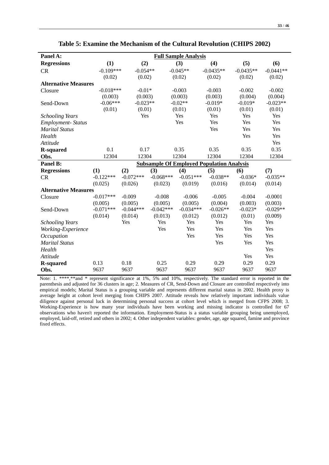| × | I |
|---|---|
| ٧ | ł |
| ٧ | × |
| × | ٧ |
|   |   |

| Panel A:                    | <b>Full Sample Analysis</b> |                           |             |             |                                                  |             |             |
|-----------------------------|-----------------------------|---------------------------|-------------|-------------|--------------------------------------------------|-------------|-------------|
| <b>Regressions</b>          | (1)                         | (2)                       |             | (3)         | (4)                                              | (5)         | (6)         |
| CR                          |                             | $-0.109***$<br>$-0.054**$ |             | $-0.045**$  | $-0.0435**$                                      | $-0.0435**$ | $-0.0441**$ |
|                             | (0.02)                      | (0.02)                    |             | (0.02)      | (0.02)                                           | (0.02)      | (0.02)      |
| <b>Alternative Measures</b> |                             |                           |             |             |                                                  |             |             |
| Closure                     | $-0.018***$                 | $-0.01*$                  |             | $-0.003$    | $-0.003$                                         | $-0.002$    | $-0.002$    |
|                             | (0.003)                     | (0.003)                   |             | (0.003)     | (0.003)                                          | (0.004)     | (0.004)     |
| Send-Down                   | $-0.06***$                  | $-0.023**$                |             | $-0.02**$   | $-0.019*$                                        | $-0.019*$   | $-0.023**$  |
|                             | (0.01)                      | (0.01)                    |             | (0.01)      | (0.01)                                           | (0.01)      | (0.01)      |
| <b>Schooling Years</b>      |                             | Yes                       |             | Yes         | Yes                                              | Yes         | Yes         |
| <b>Employment-Status</b>    |                             |                           |             | Yes         | Yes                                              | Yes         | Yes         |
| <b>Marital Status</b>       |                             |                           |             |             | Yes                                              | Yes         | Yes         |
| Health                      |                             |                           |             |             |                                                  | Yes         | Yes         |
| Attitude                    |                             |                           |             |             |                                                  |             | Yes         |
| <b>R-squared</b>            | 0.1                         | 0.17                      | 0.35        |             | 0.35                                             | 0.35        | 0.35        |
| Obs.                        | 12304                       | 12304                     |             | 12304       | 12304                                            | 12304       | 12304       |
| Panel B:                    |                             |                           |             |             | <b>Subsample Of Employed Population Analysis</b> |             |             |
| <b>Regressions</b>          | (1)                         | (2)                       | (3)         | (4)         | (5)                                              | (6)         | (7)         |
| CR                          | $-0.122***$                 | $-0.072***$               | $-0.068***$ | $-0.051***$ | $-0.038**$                                       | $-0.036*$   | $-0.035**$  |
|                             | (0.025)                     | (0.026)                   | (0.023)     | (0.019)     | (0.016)                                          | (0.014)     | (0.014)     |
| <b>Alternative Measures</b> |                             |                           |             |             |                                                  |             |             |
| Closure                     | $-0.017***$                 | $-0.009$                  | $-0.008$    | $-0.006$    | $-0.005$                                         | $-0.004$    | $-0.0001$   |
|                             | (0.005)                     | (0.005)                   | (0.005)     | (0.005)     | (0.004)                                          | (0.003)     | (0.003)     |
| Send-Down                   | $-0.071***$                 | $-0.044***$               | $-0.042***$ | $-0.034***$ | $-0.026**$                                       | $-0.023*$   | $-0.029**$  |
|                             | (0.014)                     | (0.014)                   | (0.013)     | (0.012)     | (0.012)                                          | (0.01)      | (0.009)     |
| <b>Schooling Years</b>      |                             | Yes                       | Yes         | Yes         | Yes                                              | Yes         | Yes         |
| Working-Experience          |                             |                           | Yes         | Yes         | Yes                                              | Yes         | Yes         |
| Occupation                  |                             |                           |             | Yes         | Yes                                              | Yes         | Yes         |
| <b>Marital Status</b>       |                             |                           |             |             | Yes                                              | Yes         | Yes         |
| Health                      |                             |                           |             |             |                                                  |             | Yes         |
| Attitude                    |                             |                           |             |             |                                                  | Yes         | Yes         |
| <b>R-squared</b>            | 0.13                        | 0.18                      | 0.25        | 0.29        | 0.29                                             | 0.29        | 0.29        |
| Obs.                        | 9637                        | 9637                      | 9637        | 9637        | 9637                                             | 9637        | 9637        |

**Table 5: Examine the Mechanism of the Cultural Revolution (CHIPS 2002)**

Note: 1. \*\*\*\*,\*\*and \* represent significance at 1%, 5% and 10%, respectively. The standard error is reported in the parenthesis and adjusted for 36 clusters in age; 2. Measures of CR, Send-Down and Closure are controlled respectively into empirical models; Marital Status is a grouping variable and represents different marital status in 2002. Health proxy is average height at cohort level merging from CHIPS 2007. Attitude reveals how relatively important individuals value diligence against personal luck in determining personal success at cohort level which is merged from CFPS 2008; 3. Working-Experience is how many year individuals have been working and missing indicator is controlled for 67 observations who haven't reported the information. Employment-Status is a status variable grouping being unemployed, employed, laid-off, retired and others in 2002; 4. Other independent variables: gender, age, age squared, famine and province fixed effects.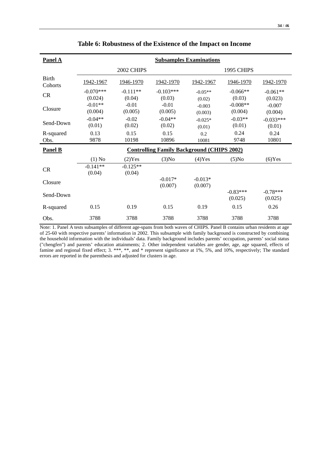| <b>Panel A</b>          | <b>Subsamples Examinations</b> |                      |                                                   |                      |                       |                       |
|-------------------------|--------------------------------|----------------------|---------------------------------------------------|----------------------|-----------------------|-----------------------|
|                         |                                | 2002 CHIPS           |                                                   |                      | 1995 CHIPS            |                       |
| <b>Birth</b><br>Cohorts | 1942-1967                      | 1946-1970            | 1942-1970                                         | 1942-1967            | 1946-1970             | 1942-1970             |
| <b>CR</b>               | $-0.070***$<br>(0.024)         | $-0.111**$<br>(0.04) | $-0.103***$<br>(0.03)                             | $-0.05**$<br>(0.02)  | $-0.066**$<br>(0.03)  | $-0.061**$<br>(0.023) |
| Closure                 | $-0.01**$<br>(0.004)           | $-0.01$<br>(0.005)   | $-0.01$<br>(0.005)                                | $-0.003$<br>(0.003)  | $-0.008**$<br>(0.004) | $-0.007$<br>(0.004)   |
| Send-Down               | $-0.04**$<br>(0.01)            | $-0.02$<br>(0.02)    | $-0.04**$<br>(0.02)                               | $-0.025*$<br>(0.01)  | $-0.03**$<br>(0.01)   | $-0.033***$<br>(0.01) |
| R-squared<br>Obs.       | 0.13<br>9878                   | 0.15<br>10198        | 0.15<br>10896                                     | 0.2<br>10081         | 0.24<br>9748          | 0.24<br>10801         |
| <b>Panel B</b>          |                                |                      | <b>Controlling Family Background (CHIPS 2002)</b> |                      |                       |                       |
|                         | $(1)$ No                       | $(2)$ Yes            | $(3)$ No                                          | $(4)$ Yes            | $(5)$ No              | $(6)$ Yes             |
| CR                      | $-0.141**$<br>(0.04)           | $-0.125**$<br>(0.04) |                                                   |                      |                       |                       |
| Closure                 |                                |                      | $-0.017*$<br>(0.007)                              | $-0.013*$<br>(0.007) |                       |                       |
| Send-Down               |                                |                      |                                                   |                      | $-0.83***$<br>(0.025) | $-0.78***$<br>(0.025) |
| R-squared               | 0.15                           | 0.19                 | 0.15                                              | 0.19                 | 0.15                  | 0.26                  |
| Obs.                    | 3788                           | 3788                 | 3788                                              | 3788                 | 3788                  | 3788                  |

#### **Table 6: Robustness of the Existence of the Impact on Income**

Note: 1. Panel A tests subsamples of different age-spans from both waves of CHIPS. Panel B contains urban residents at age of 25-60 with respective parents' information in 2002. This subsample with family background is constructed by combining the household information with the individuals' data. Family background includes parents' occupation, parents' social status ("chengfen") and parents' education attainments; 2. Other independent variables are gender, age, age squared, effects of famine and regional fixed effect; 3. \*\*\*, \*\*, and \* represent significance at 1%, 5%, and 10%, respectively; The standard errors are reported in the parenthesis and adjusted for clusters in age.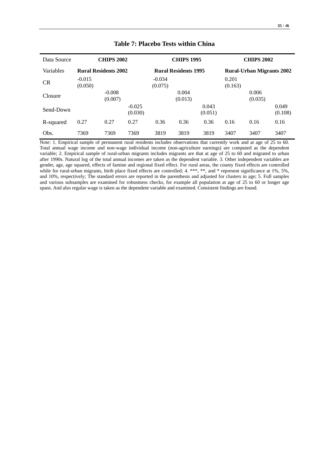| Data Source | <b>CHIPS 2002</b>   |                             | <b>CHIPS 1995</b>   |                     |                             | <b>CHIPS 2002</b> |                  |                                  |                  |
|-------------|---------------------|-----------------------------|---------------------|---------------------|-----------------------------|-------------------|------------------|----------------------------------|------------------|
| Variables   |                     | <b>Rural Residents 2002</b> |                     |                     | <b>Rural Residents 1995</b> |                   |                  | <b>Rural-Urban Migrants 2002</b> |                  |
| <b>CR</b>   | $-0.015$<br>(0.050) |                             |                     | $-0.034$<br>(0.075) |                             |                   | 0.201<br>(0.163) |                                  |                  |
| Closure     |                     | $-0.008$<br>(0.007)         |                     |                     | 0.004<br>(0.013)            |                   |                  | 0.006<br>(0.035)                 |                  |
| Send-Down   |                     |                             | $-0.025$<br>(0.030) |                     |                             | 0.043<br>(0.051)  |                  |                                  | 0.049<br>(0.108) |
| R-squared   | 0.27                | 0.27                        | 0.27                | 0.36                | 0.36                        | 0.36              | 0.16             | 0.16                             | 0.16             |
| Obs.        | 7369                | 7369                        | 7369                | 3819                | 3819                        | 3819              | 3407             | 3407                             | 3407             |

#### **Table 7: Placebo Tests within China**

Note: 1. Empirical sample of permanent rural residents includes observations that currently work and at age of 25 to 60. Total annual wage income and non-wage individual income (non-agriculture earnings) are computed as the dependent variable; 2. Empirical sample of rural-urban migrants includes migrants are that at age of 25 to 60 and migrated to urban after 1990s. Natural log of the total annual incomes are taken as the dependent variable. 3. Other independent variables are gender, age, age squared, effects of famine and regional fixed effect. For rural areas, the county fixed effects are controlled while for rural-urban migrants, birth place fixed effects are controlled; 4. \*\*\*, \*\*, and \* represent significance at 1%, 5%, and 10%, respectively; The standard errors are reported in the parenthesis and adjusted for clusters in age; 5. Full samples and various subsamples are examined for robustness checks, for example all population at age of 25 to 60 or longer age spans. And also regular wage is taken as the dependent variable and examined. Consistent findings are found.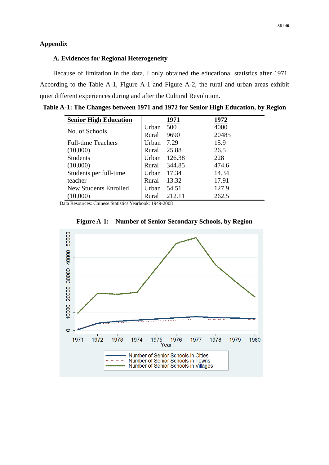## **A. Evidences for Regional Heterogeneity**

Because of limitation in the data, I only obtained the educational statistics after 1971. According to the Table A-1, Figure A-1 and Figure A-2, the rural and urban areas exhibit quiet different experiences during and after the Cultural Revolution.

| Table A-1: The Changes between 1971 and 1972 for Senior High Education, by Region |  |  |
|-----------------------------------------------------------------------------------|--|--|
|                                                                                   |  |  |

| <b>Senior High Education</b> |       | 1971   | 1972  |
|------------------------------|-------|--------|-------|
| No. of Schools               | Urban | 500    | 4000  |
|                              | Rural | 9690   | 20485 |
| <b>Full-time Teachers</b>    | Urban | 7.29   | 15.9  |
| (10,000)                     | Rural | 25.88  | 26.5  |
| <b>Students</b>              | Urban | 126.38 | 228   |
| (10,000)                     | Rural | 344.85 | 474.6 |
| Students per full-time       | Urban | 17.34  | 14.34 |
| teacher                      | Rural | 13.32  | 17.91 |
| New Students Enrolled        | Urban | 54.51  | 127.9 |
| (10,000)                     | Rural | 212.11 | 262.5 |

Data Resources: Chinese Statistics Yearbook: 1949-2008



**Figure A-1: Number of Senior Secondary Schools, by Region**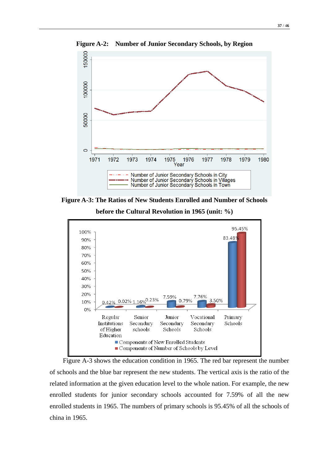

**Figure A-2: Number of Junior Secondary Schools, by Region**

**Figure A-3: The Ratios of New Students Enrolled and Number of Schools**



Figure A-3 shows the education condition in 1965. The red bar represent the number of schools and the blue bar represent the new students. The vertical axis is the ratio of the related information at the given education level to the whole nation. For example, the new enrolled students for junior secondary schools accounted for 7.59% of all the new enrolled students in 1965. The numbers of primary schools is 95.45% of all the schools of china in 1965.

**before the Cultural Revolution in 1965 (unit: %)**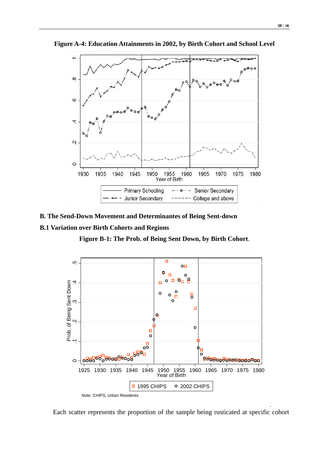

**Figure A-4: Education Attainments in 2002, by Birth Cohort and School Level**

- **B. The Send-Down Movement and Determinantes of Being Sent-down**
- **B.1 Variation over Birth Cohorts and Regions**

**Figure B-1: The Prob. of Being Sent Down, by Birth Cohort**.



Each scatter represents the proportion of the sample being rusticated at specific cohort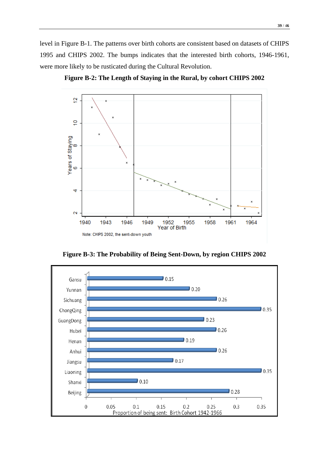level in Figure B-1. The patterns over birth cohorts are consistent based on datasets of CHIPS 1995 and CHIPS 2002. The bumps indicates that the interested birth cohorts, 1946-1961, were more likely to be rusticated during the Cultural Revolution.



**Figure B-2: The Length of Staying in the Rural, by cohort CHIPS 2002**



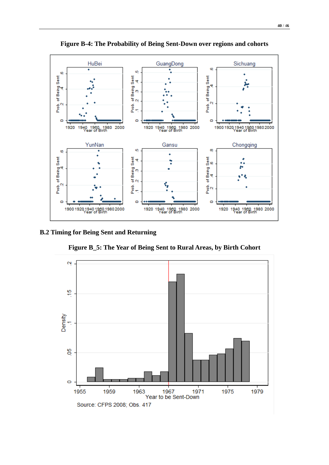

**Figure B-4: The Probability of Being Sent-Down over regions and cohorts**

## **B.2 Timing for Being Sent and Returning**

**Figure B\_5: The Year of Being Sent to Rural Areas, by Birth Cohort** 

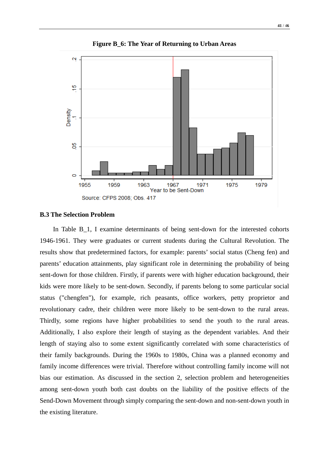

**Figure B\_6: The Year of Returning to Urban Areas**

## **B.3 The Selection Problem**

In Table B\_1, I examine determinants of being sent-down for the interested cohorts 1946-1961. They were graduates or current students during the Cultural Revolution. The results show that predetermined factors, for example: parents' social status (Cheng fen) and parents' education attainments, play significant role in determining the probability of being sent-down for those children. Firstly, if parents were with higher education background, their kids were more likely to be sent-down. Secondly, if parents belong to some particular social status ("chengfen"), for example, rich peasants, office workers, petty proprietor and revolutionary cadre, their children were more likely to be sent-down to the rural areas. Thirdly, some regions have higher probabilities to send the youth to the rural areas. Additionally, I also explore their length of staying as the dependent variables. And their length of staying also to some extent significantly correlated with some characteristics of their family backgrounds. During the 1960s to 1980s, China was a planned economy and family income differences were trivial. Therefore without controlling family income will not bias our estimation. As discussed in the section 2, selection problem and heterogeneities among sent-down youth both cast doubts on the liability of the positive effects of the Send-Down Movement through simply comparing the sent-down and non-sent-down youth in the existing literature.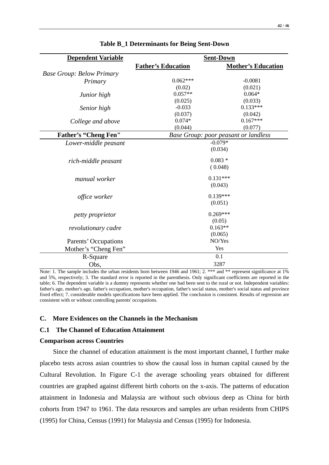| <b>Father's Education</b><br><b>Mother's Education</b><br><b>Base Group: Below Primary</b><br>$0.062***$<br>$-0.0081$<br>Primary<br>(0.02)<br>(0.021)<br>$0.057**$<br>$0.064*$<br>Junior high<br>(0.025)<br>(0.033)<br>$0.133***$<br>$-0.033$<br>Senior high<br>(0.037)<br>(0.042)<br>$0.167***$<br>$0.074*$<br>College and above<br>(0.044)<br>(0.077)<br><b>Father's "Cheng Fen"</b><br>Base Group: poor peasant or landless<br>$-0.079*$<br>Lower-middle peasant<br>(0.034)<br>$0.083*$<br>rich-middle peasant<br>(0.048)<br>$0.131***$<br>manual worker<br>(0.043)<br>$0.139***$<br>office worker<br>(0.051)<br>$0.269***$<br>petty proprietor | <b>Dependent Variable</b> |  | <b>Sent-Down</b> |  |  |
|----------------------------------------------------------------------------------------------------------------------------------------------------------------------------------------------------------------------------------------------------------------------------------------------------------------------------------------------------------------------------------------------------------------------------------------------------------------------------------------------------------------------------------------------------------------------------------------------------------------------------------------------------|---------------------------|--|------------------|--|--|
|                                                                                                                                                                                                                                                                                                                                                                                                                                                                                                                                                                                                                                                    |                           |  |                  |  |  |
|                                                                                                                                                                                                                                                                                                                                                                                                                                                                                                                                                                                                                                                    |                           |  |                  |  |  |
|                                                                                                                                                                                                                                                                                                                                                                                                                                                                                                                                                                                                                                                    |                           |  |                  |  |  |
|                                                                                                                                                                                                                                                                                                                                                                                                                                                                                                                                                                                                                                                    |                           |  |                  |  |  |
|                                                                                                                                                                                                                                                                                                                                                                                                                                                                                                                                                                                                                                                    |                           |  |                  |  |  |
|                                                                                                                                                                                                                                                                                                                                                                                                                                                                                                                                                                                                                                                    |                           |  |                  |  |  |
|                                                                                                                                                                                                                                                                                                                                                                                                                                                                                                                                                                                                                                                    |                           |  |                  |  |  |
|                                                                                                                                                                                                                                                                                                                                                                                                                                                                                                                                                                                                                                                    |                           |  |                  |  |  |
|                                                                                                                                                                                                                                                                                                                                                                                                                                                                                                                                                                                                                                                    |                           |  |                  |  |  |
|                                                                                                                                                                                                                                                                                                                                                                                                                                                                                                                                                                                                                                                    |                           |  |                  |  |  |
|                                                                                                                                                                                                                                                                                                                                                                                                                                                                                                                                                                                                                                                    |                           |  |                  |  |  |
|                                                                                                                                                                                                                                                                                                                                                                                                                                                                                                                                                                                                                                                    |                           |  |                  |  |  |
|                                                                                                                                                                                                                                                                                                                                                                                                                                                                                                                                                                                                                                                    |                           |  |                  |  |  |
|                                                                                                                                                                                                                                                                                                                                                                                                                                                                                                                                                                                                                                                    |                           |  |                  |  |  |
|                                                                                                                                                                                                                                                                                                                                                                                                                                                                                                                                                                                                                                                    |                           |  |                  |  |  |
|                                                                                                                                                                                                                                                                                                                                                                                                                                                                                                                                                                                                                                                    |                           |  |                  |  |  |
|                                                                                                                                                                                                                                                                                                                                                                                                                                                                                                                                                                                                                                                    |                           |  |                  |  |  |
|                                                                                                                                                                                                                                                                                                                                                                                                                                                                                                                                                                                                                                                    |                           |  |                  |  |  |
|                                                                                                                                                                                                                                                                                                                                                                                                                                                                                                                                                                                                                                                    |                           |  |                  |  |  |
|                                                                                                                                                                                                                                                                                                                                                                                                                                                                                                                                                                                                                                                    |                           |  |                  |  |  |
|                                                                                                                                                                                                                                                                                                                                                                                                                                                                                                                                                                                                                                                    |                           |  |                  |  |  |
|                                                                                                                                                                                                                                                                                                                                                                                                                                                                                                                                                                                                                                                    |                           |  |                  |  |  |
|                                                                                                                                                                                                                                                                                                                                                                                                                                                                                                                                                                                                                                                    |                           |  | (0.05)           |  |  |
| $0.163**$<br>revolutionary cadre                                                                                                                                                                                                                                                                                                                                                                                                                                                                                                                                                                                                                   |                           |  |                  |  |  |
| (0.065)                                                                                                                                                                                                                                                                                                                                                                                                                                                                                                                                                                                                                                            |                           |  |                  |  |  |
| NO/Yes<br>Parents' Occupations                                                                                                                                                                                                                                                                                                                                                                                                                                                                                                                                                                                                                     |                           |  |                  |  |  |
| Yes<br>Mother's "Cheng Fen"                                                                                                                                                                                                                                                                                                                                                                                                                                                                                                                                                                                                                        |                           |  |                  |  |  |
| 0.1<br>R-Square                                                                                                                                                                                                                                                                                                                                                                                                                                                                                                                                                                                                                                    |                           |  |                  |  |  |
| 3287<br>Obs,                                                                                                                                                                                                                                                                                                                                                                                                                                                                                                                                                                                                                                       |                           |  |                  |  |  |

**Table B\_1 Determinants for Being Sent-Down**

Note: 1. The sample includes the urban residents born between 1946 and 1961; 2. \*\*\* and \*\* represent significance at 1% and 5%, respectively; 3. The standard error is reported in the parenthesis. Only significant coefficients are reported in the table; 6. The dependent variable is a dummy represents whether one had been sent to the rural or not. Independent variables: father's age, mother's age, father's occupation, mother's occupation, father's social status, mother's social status and province fixed effect; 7. considerable models specifications have been applied. The conclusion is consistent. Results of regression are consistent with or without controlling parents' occupations.

#### **C. More Evidences on the Channels in the Mechanism**

#### **C.1 The Channel of Education Attainment**

#### **Comparison across Countries**

Since the channel of education attainment is the most important channel, I further make placebo tests across asian countries to show the causal loss in human capital caused by the Cultural Revolution. In Figure C-1 the average schooling years obtained for different countries are graphed against different birth cohorts on the x-axis. The patterns of education attainment in Indonesia and Malaysia are without such obvious deep as China for birth cohorts from 1947 to 1961. The data resources and samples are urban residents from CHIPS (1995) for China, Census (1991) for Malaysia and Census (1995) for Indonesia.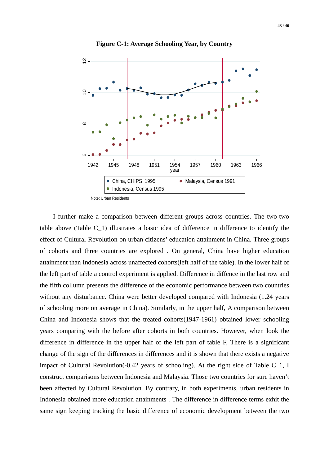

**Figure C-1: Average Schooling Year, by Country**

I further make a comparison between different groups across countries. The two-two table above (Table C\_1) illustrates a basic idea of difference in difference to identify the effect of Cultural Revolution on urban citizens' education attainment in China. Three groups of cohorts and three countries are explored . On general, China have higher education attainment than Indonesia across unaffected cohorts(left half of the table). In the lower half of the left part of table a control experiment is applied. Difference in diffence in the last row and the fifth collumn presents the difference of the economic performance between two countries without any disturbance. China were better developed compared with Indonesia (1.24 years of schooling more on average in China). Similarly, in the upper half, A comparison between China and Indonesia shows that the treated cohorts(1947-1961) obtained lower schooling years comparing with the before after cohorts in both countries. However, when look the difference in difference in the upper half of the left part of table F, There is a significant change of the sign of the differences in differences and it is shown that there exists a negative impact of Cultural Revolution(-0.42 years of schooling). At the right side of Table C\_1, I construct comparisons between Indonesia and Malaysia. Those two countries for sure haven't been affected by Cultural Revolution. By contrary, in both experiments, urban residents in Indonesia obtained more education attainments . The difference in difference terms exhit the same sign keeping tracking the basic difference of economic development between the two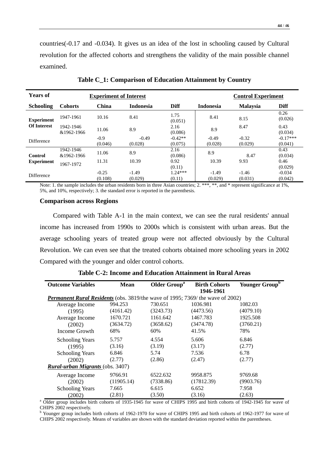countries(-0.17 and -0.034). It gives us an idea of the lost in schooling caused by Cultural revolution for the affected cohorts and strengthens the validity of the main possible channel examined.

| <b>Years of</b>                               | <b>Experiment of Interest</b> |                    |                    |                      |                    | <b>Control Experiment</b> |                       |  |
|-----------------------------------------------|-------------------------------|--------------------|--------------------|----------------------|--------------------|---------------------------|-----------------------|--|
| <b>Schooling</b>                              | <b>Cohorts</b>                | China              | <b>Indonesia</b>   | <b>Diff</b>          | <b>Indonesia</b>   | <b>Malaysia</b>           | Diff                  |  |
| <b>Experiment</b>                             | 1947-1961                     | 10.16              | 8.41               | 1.75<br>(0.051)      | 8.41               | 8.15                      | 0.26<br>(0.026)       |  |
| <b>Of Interest</b><br>1942-1946<br>&1962-1966 | 11.06                         | 8.9                | 2.16<br>(0.086)    | 8.9                  | 8.47               | 0.43<br>(0.034)           |                       |  |
| <b>Difference</b>                             |                               | $-0.9$<br>(0.046)  | $-0.49$<br>(0.028) | $-0.42**$<br>(0.075) | $-0.49$<br>(0.028) | $-0.32$<br>(0.029)        | $-0.17***$<br>(0.041) |  |
| Control                                       | 1942-1946<br>&1962-1966       | 11.06              | 8.9                | 2.16<br>(0.086)      | 8.9                | 8.47                      | 0.43<br>(0.034)       |  |
| <b>Experiment</b>                             | 1967-1972                     | 11.31              | 10.39              | 0.92<br>(0.11)       | 10.39              | 9.93                      | 0.46<br>(0.029)       |  |
| <b>Difference</b>                             |                               | $-0.25$<br>(0.108) | $-1.49$<br>(0.029) | $1.24***$<br>(0.11)  | $-1.49$<br>(0.029) | $-1.46$<br>(0.031)        | $-0.034$<br>(0.042)   |  |

**Table C\_1: Comparison of Education Attainment by Country**

Note: 1. the sample includes the urban residents born in three Asian countries; 2. \*\*\*, \*\*, and \* represent significance at 1%, 5%, and 10%, respectively; 3. the standard error is reported in the parenthesis.

#### **Comparison across Regions**

Compared with Table A-1 in the main context, we can see the rural residents' annual income has increased from 1990s to 2000s which is consistent with urban areas. But the average schooling years of treated group were not affected obviously by the Cultural Revolution. We can even see that the treated cohorts obtained more schooling years in 2002 Compared with the younger and older control cohorts.

| <b>Outcome Variables</b>                                                             | <b>Mean</b> | Older Group <sup>a</sup> | <b>Birth Cohorts</b> | Younger Group <sup>b</sup> |
|--------------------------------------------------------------------------------------|-------------|--------------------------|----------------------|----------------------------|
|                                                                                      |             |                          | 1946-1961            |                            |
| <b>Permanent Rural Residents</b> (obs. 3819/the wave of 1995; 7369/the wave of 2002) |             |                          |                      |                            |
| Average Income                                                                       | 994.253     | 730.651                  | 1036.981             | 1082.03                    |
| (1995)                                                                               | (4161.42)   | (3243.73)                | (4473.56)            | (4079.10)                  |
| Average Income                                                                       | 1670.721    | 1161.642                 | 1467.783             | 1925.508                   |
| (2002)                                                                               | (3634.72)   | (3658.62)                | (3474.78)            | (3760.21)                  |
| Income Growth                                                                        | 68%         | 60%                      | 41.5%                | 78%                        |
| <b>Schooling Years</b>                                                               | 5.757       | 4.554                    | 5.606                | 6.846                      |
| (1995)                                                                               | (3.16)      | (3.19)                   | (3.17)               | (2.77)                     |
| <b>Schooling Years</b>                                                               | 6.846       | 5.74                     | 7.536                | 6.78                       |
| (2002)                                                                               | (2.77)      | (2.86)                   | (2.47)               | (2.77)                     |
| <b>Rural-urban Migrants</b> (obs. 3407)                                              |             |                          |                      |                            |
| Average Income                                                                       | 9766.91     | 6522.632                 | 9958.875             | 9769.68                    |
| (2002)                                                                               | (11905.14)  | (7338.86)                | (17812.39)           | (9903.76)                  |
| <b>Schooling Years</b>                                                               | 7.665       | 6.615                    | 6.652                | 7.958                      |
| (2002)                                                                               | (2.81)      | (3.50)                   | (3.16)               | (2.63)                     |

**Table C-2: Income and Education Attainment in Rural Areas**

<sup>a</sup> Older group includes birth cohorts of 1935-1945 for wave of CHIPS 1995 and birth cohorts of 1942-1945 for wave of CHIPS 2002 respectively.

Younger group includes birth cohorts of 1962-1970 for wave of CHIPS 1995 and birth cohorts of 1962-1977 for wave of CHIPS 2002 respectively. Means of variables are shown with the standard deviation reported within the parentheses.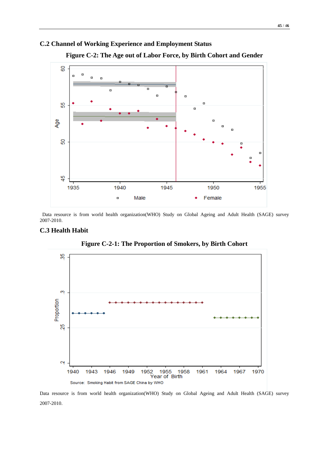## **C.2 Channel of Working Experience and Employment Status**



**Figure C-2: The Age out of Labor Force, by Birth Cohort and Gender**

Data resource is from world health organization(WHO) Study on Global Ageing and Adult Health (SAGE) survey 2007-2010.

#### **C.3 Health Habit**



**Figure C-2-1: The Proportion of Smokers, by Birth Cohort**

Data resource is from world health organization(WHO) Study on Global Ageing and Adult Health (SAGE) survey 2007-2010.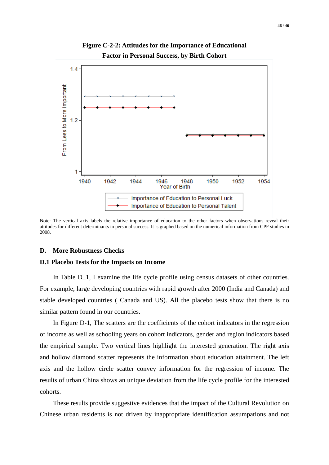

**Figure C-2-2: Attitudes for the Importance of Educational Factor in Personal Success, by Birth Cohort**

Note: The vertical axis labels the relative importance of education to the other factors when observations reveal their attitudes for different determinants in personal success. It is graphed based on the numerical information from CPF studies in 2008.

#### **D. More Robustness Checks**

#### **D.1 Placebo Tests for the Impacts on Income**

In Table D\_1, I examine the life cycle profile using census datasets of other countries. For example, large developing countries with rapid growth after 2000 (India and Canada) and stable developed countries ( Canada and US). All the placebo tests show that there is no similar pattern found in our countries.

In Figure D-1, The scatters are the coefficients of the cohort indicators in the regression of income as well as schooling years on cohort indicators, gender and region indicators based the empirical sample. Two vertical lines highlight the interested generation. The right axis and hollow diamond scatter represents the information about education attainment. The left axis and the hollow circle scatter convey information for the regression of income. The results of urban China shows an unique deviation from the life cycle profile for the interested cohorts.

These results provide suggestive evidences that the impact of the Cultural Revolution on Chinese urban residents is not driven by inappropriate identification assumpations and not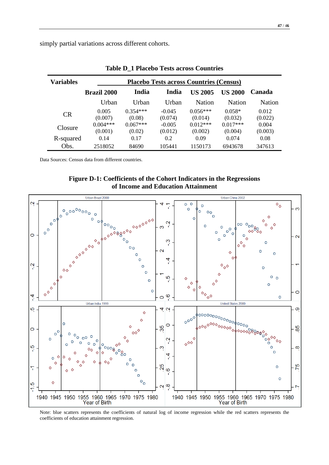simply partial variations across different cohorts.

| Variables      | <b>Placebo Tests across Countries (Census)</b> |            |          |                |               |         |
|----------------|------------------------------------------------|------------|----------|----------------|---------------|---------|
|                | <b>Brazil 2000</b>                             | India      | India    | <b>US 2005</b> | US 2000       | Canada  |
|                | Urban                                          | Urban      | Urban    | Nation         | <b>Nation</b> | Nation  |
|                | 0.005                                          | $0.354***$ | $-0.045$ | $0.056***$     | $0.058*$      | 0.012   |
| <b>CR</b>      | (0.007)                                        | (0.08)     | (0.074)  | (0.014)        | (0.032)       | (0.022) |
| <b>Closure</b> | $0.004***$                                     | $0.067***$ | $-0.005$ | $0.012***$     | $0.017***$    | 0.004   |
|                | (0.001)                                        | (0.02)     | (0.012)  | (0.002)        | (0.004)       | (0.003) |
| R-squared      | 0.14                                           | 0.17       | 0.2      | 0.09           | 0.074         | 0.08    |
| Obs.           | 2518052                                        | 84690      | 105441   | 1150173        | 6943678       | 347613  |

**Table D\_1 Placebo Tests across Countries** 

Data Sources: Census data from different countries.





Note: blue scatters represents the coefficients of natural log of income regression while the red scatters represents the coefficients of education attainment regression.